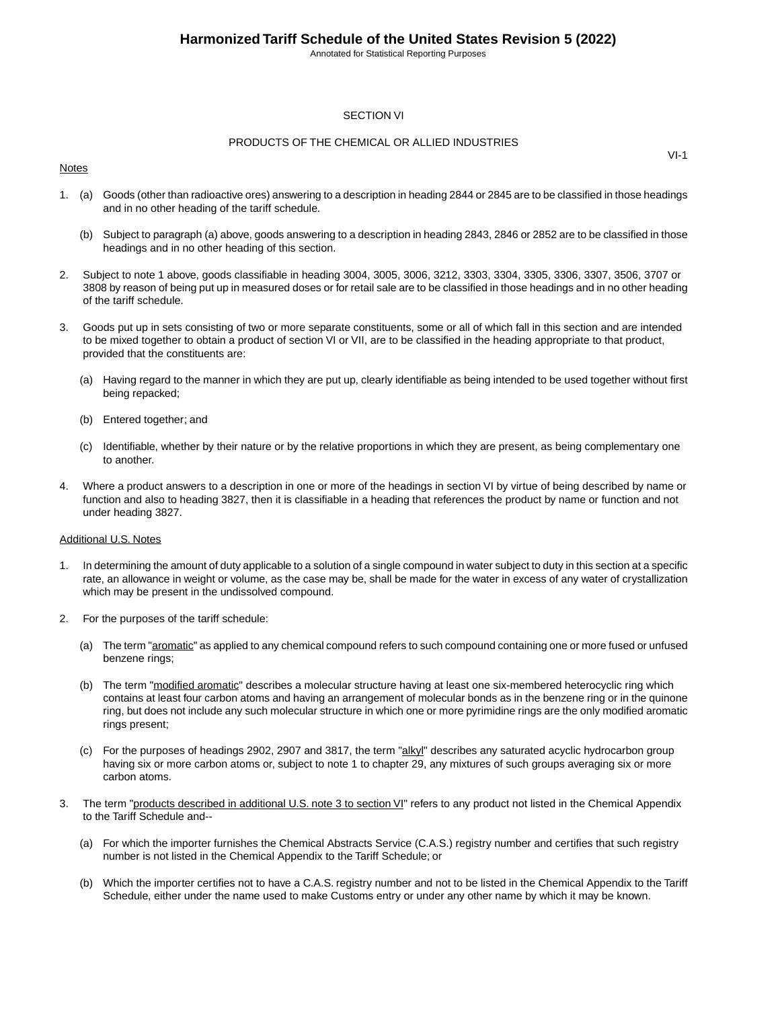Annotated for Statistical Reporting Purposes

#### SECTION VI

#### PRODUCTS OF THE CHEMICAL OR ALLIED INDUSTRIES

#### Notes

1. (a) Goods (other than radioactive ores) answering to a description in heading 2844 or 2845 are to be classified in those headings and in no other heading of the tariff schedule.

- (b) Subject to paragraph (a) above, goods answering to a description in heading 2843, 2846 or 2852 are to be classified in those headings and in no other heading of this section.
- 2. Subject to note 1 above, goods classifiable in heading 3004, 3005, 3006, 3212, 3303, 3304, 3305, 3306, 3307, 3506, 3707 or 3808 by reason of being put up in measured doses or for retail sale are to be classified in those headings and in no other heading of the tariff schedule.
- 3. Goods put up in sets consisting of two or more separate constituents, some or all of which fall in this section and are intended to be mixed together to obtain a product of section VI or VII, are to be classified in the heading appropriate to that product, provided that the constituents are:
	- (a) Having regard to the manner in which they are put up, clearly identifiable as being intended to be used together without first being repacked;
	- (b) Entered together; and
	- (c) Identifiable, whether by their nature or by the relative proportions in which they are present, as being complementary one to another.
- 4. Where a product answers to a description in one or more of the headings in section VI by virtue of being described by name or function and also to heading 3827, then it is classifiable in a heading that references the product by name or function and not under heading 3827.

#### Additional U.S. Notes

- 1. In determining the amount of duty applicable to a solution of a single compound in water subject to duty in this section at a specific rate, an allowance in weight or volume, as the case may be, shall be made for the water in excess of any water of crystallization which may be present in the undissolved compound.
- 2. For the purposes of the tariff schedule:
	- (a) The term "aromatic" as applied to any chemical compound refers to such compound containing one or more fused or unfused benzene rings;
	- (b) The term "modified aromatic" describes a molecular structure having at least one six-membered heterocyclic ring which contains at least four carbon atoms and having an arrangement of molecular bonds as in the benzene ring or in the quinone ring, but does not include any such molecular structure in which one or more pyrimidine rings are the only modified aromatic rings present;
	- (c) For the purposes of headings 2902, 2907 and 3817, the term "alkyl" describes any saturated acyclic hydrocarbon group having six or more carbon atoms or, subject to note 1 to chapter 29, any mixtures of such groups averaging six or more carbon atoms.
- 3. The term "products described in additional U.S. note 3 to section VI" refers to any product not listed in the Chemical Appendix to the Tariff Schedule and--
	- (a) For which the importer furnishes the Chemical Abstracts Service (C.A.S.) registry number and certifies that such registry number is not listed in the Chemical Appendix to the Tariff Schedule; or
	- (b) Which the importer certifies not to have a C.A.S. registry number and not to be listed in the Chemical Appendix to the Tariff Schedule, either under the name used to make Customs entry or under any other name by which it may be known.

VI-1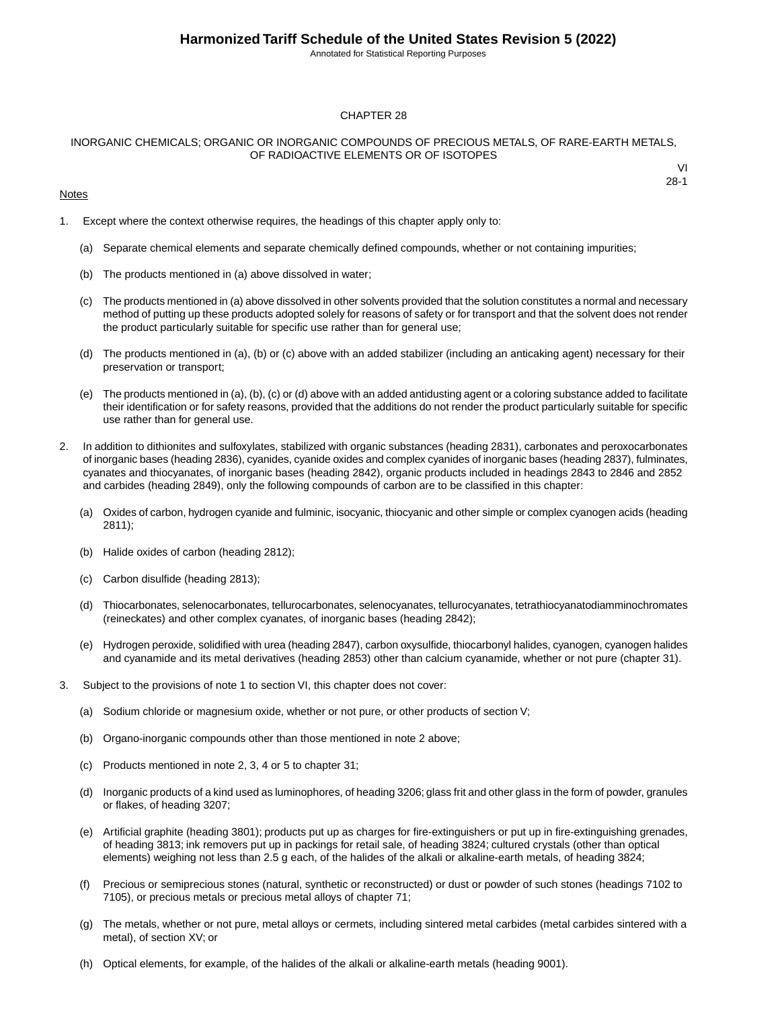Annotated for Statistical Reporting Purposes

#### CHAPTER 28

#### INORGANIC CHEMICALS; ORGANIC OR INORGANIC COMPOUNDS OF PRECIOUS METALS, OF RARE-EARTH METALS, OF RADIOACTIVE ELEMENTS OR OF ISOTOPES

#### **Notes**

1. Except where the context otherwise requires, the headings of this chapter apply only to:

- (a) Separate chemical elements and separate chemically defined compounds, whether or not containing impurities;
- (b) The products mentioned in (a) above dissolved in water;
- (c) The products mentioned in (a) above dissolved in other solvents provided that the solution constitutes a normal and necessary method of putting up these products adopted solely for reasons of safety or for transport and that the solvent does not render the product particularly suitable for specific use rather than for general use;
- (d) The products mentioned in (a), (b) or (c) above with an added stabilizer (including an anticaking agent) necessary for their preservation or transport;
- (e) The products mentioned in (a), (b), (c) or (d) above with an added antidusting agent or a coloring substance added to facilitate their identification or for safety reasons, provided that the additions do not render the product particularly suitable for specific use rather than for general use.
- 2. In addition to dithionites and sulfoxylates, stabilized with organic substances (heading 2831), carbonates and peroxocarbonates of inorganic bases (heading 2836), cyanides, cyanide oxides and complex cyanides of inorganic bases (heading 2837), fulminates, cyanates and thiocyanates, of inorganic bases (heading 2842), organic products included in headings 2843 to 2846 and 2852 and carbides (heading 2849), only the following compounds of carbon are to be classified in this chapter:
	- (a) Oxides of carbon, hydrogen cyanide and fulminic, isocyanic, thiocyanic and other simple or complex cyanogen acids (heading 2811);
	- (b) Halide oxides of carbon (heading 2812);
	- (c) Carbon disulfide (heading 2813);
	- (d) Thiocarbonates, selenocarbonates, tellurocarbonates, selenocyanates, tellurocyanates, tetrathiocyanatodiamminochromates (reineckates) and other complex cyanates, of inorganic bases (heading 2842);
	- (e) Hydrogen peroxide, solidified with urea (heading 2847), carbon oxysulfide, thiocarbonyl halides, cyanogen, cyanogen halides and cyanamide and its metal derivatives (heading 2853) other than calcium cyanamide, whether or not pure (chapter 31).
- 3. Subject to the provisions of note 1 to section VI, this chapter does not cover:
	- (a) Sodium chloride or magnesium oxide, whether or not pure, or other products of section V;
	- (b) Organo-inorganic compounds other than those mentioned in note 2 above;
	- (c) Products mentioned in note 2, 3, 4 or 5 to chapter 31;
	- (d) Inorganic products of a kind used as luminophores, of heading 3206; glass frit and other glass in the form of powder, granules or flakes, of heading 3207;
	- (e) Artificial graphite (heading 3801); products put up as charges for fire-extinguishers or put up in fire-extinguishing grenades, of heading 3813; ink removers put up in packings for retail sale, of heading 3824; cultured crystals (other than optical elements) weighing not less than 2.5 g each, of the halides of the alkali or alkaline-earth metals, of heading 3824;
	- (f) Precious or semiprecious stones (natural, synthetic or reconstructed) or dust or powder of such stones (headings 7102 to 7105), or precious metals or precious metal alloys of chapter 71;
	- (g) The metals, whether or not pure, metal alloys or cermets, including sintered metal carbides (metal carbides sintered with a metal), of section XV; or
	- (h) Optical elements, for example, of the halides of the alkali or alkaline-earth metals (heading 9001).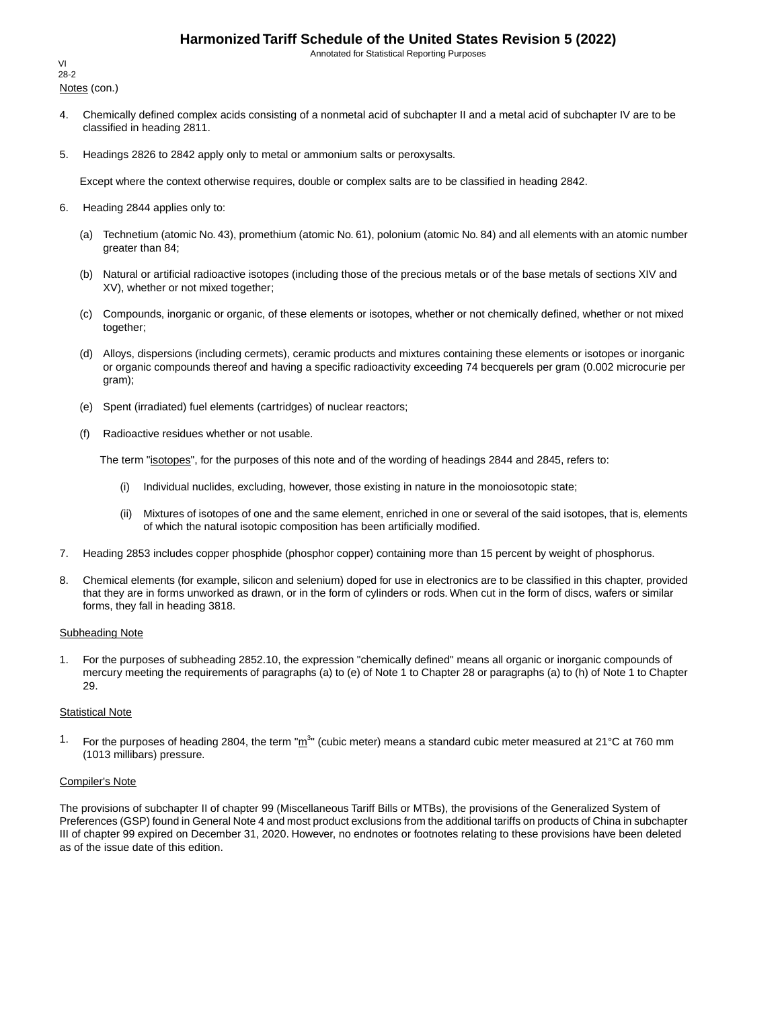Annotated for Statistical Reporting Purposes

Notes (con.) VI 28-2

- 4. Chemically defined complex acids consisting of a nonmetal acid of subchapter II and a metal acid of subchapter IV are to be classified in heading 2811.
- 5. Headings 2826 to 2842 apply only to metal or ammonium salts or peroxysalts.

Except where the context otherwise requires, double or complex salts are to be classified in heading 2842.

- 6. Heading 2844 applies only to:
	- (a) Technetium (atomic No. 43), promethium (atomic No. 61), polonium (atomic No. 84) and all elements with an atomic number greater than 84;
	- (b) Natural or artificial radioactive isotopes (including those of the precious metals or of the base metals of sections XIV and XV), whether or not mixed together;
	- (c) Compounds, inorganic or organic, of these elements or isotopes, whether or not chemically defined, whether or not mixed together;
	- (d) Alloys, dispersions (including cermets), ceramic products and mixtures containing these elements or isotopes or inorganic or organic compounds thereof and having a specific radioactivity exceeding 74 becquerels per gram (0.002 microcurie per gram);
	- (e) Spent (irradiated) fuel elements (cartridges) of nuclear reactors;
	- (f) Radioactive residues whether or not usable.

The term "isotopes", for the purposes of this note and of the wording of headings 2844 and 2845, refers to:

- (i) Individual nuclides, excluding, however, those existing in nature in the monoiosotopic state;
- (ii) Mixtures of isotopes of one and the same element, enriched in one or several of the said isotopes, that is, elements of which the natural isotopic composition has been artificially modified.
- 7. Heading 2853 includes copper phosphide (phosphor copper) containing more than 15 percent by weight of phosphorus.
- 8. Chemical elements (for example, silicon and selenium) doped for use in electronics are to be classified in this chapter, provided that they are in forms unworked as drawn, or in the form of cylinders or rods. When cut in the form of discs, wafers or similar forms, they fall in heading 3818.

#### Subheading Note

1. For the purposes of subheading 2852.10, the expression "chemically defined" means all organic or inorganic compounds of mercury meeting the requirements of paragraphs (a) to (e) of Note 1 to Chapter 28 or paragraphs (a) to (h) of Note 1 to Chapter 29.

#### **Statistical Note**

<sup>1.</sup> For the purposes of heading 2804, the term " $m^{3n}$  (cubic meter) means a standard cubic meter measured at 21°C at 760 mm (1013 millibars) pressure.

#### Compiler's Note

The provisions of subchapter II of chapter 99 (Miscellaneous Tariff Bills or MTBs), the provisions of the Generalized System of Preferences (GSP) found in General Note 4 and most product exclusions from the additional tariffs on products of China in subchapter III of chapter 99 expired on December 31, 2020. However, no endnotes or footnotes relating to these provisions have been deleted as of the issue date of this edition.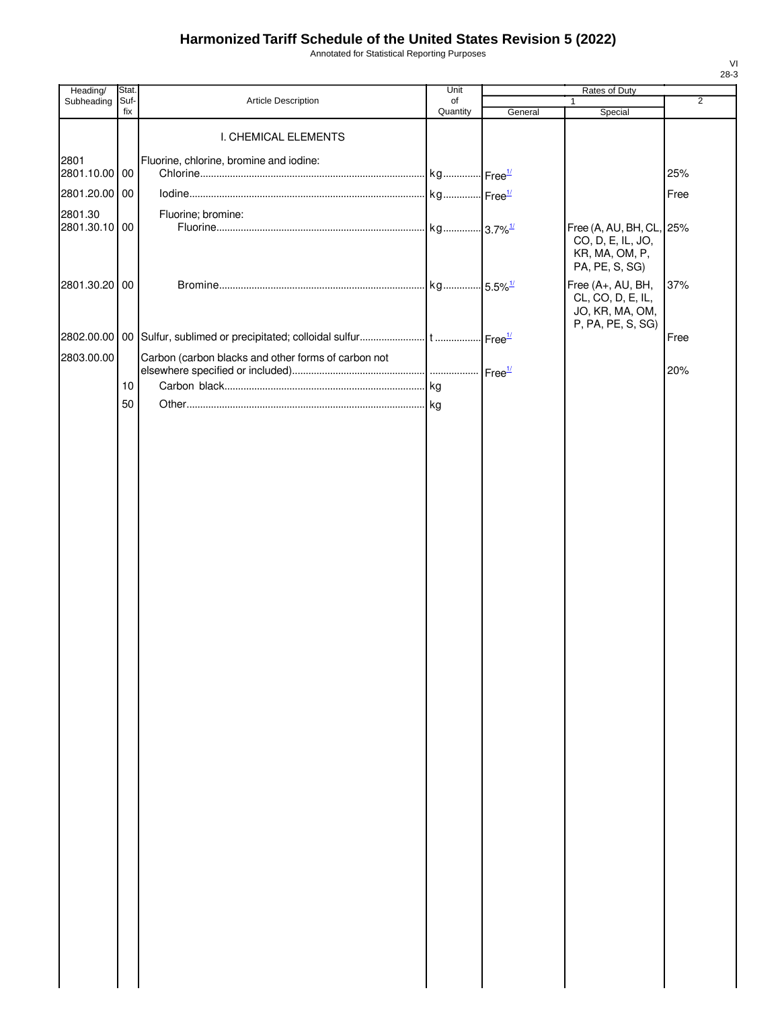Annotated for Statistical Reporting Purposes

| Heading/              | Stat.       |                                                     | Unit           |         | Rates of Duty                                                                     |                |
|-----------------------|-------------|-----------------------------------------------------|----------------|---------|-----------------------------------------------------------------------------------|----------------|
| Subheading            | Suf-<br>fix | Article Description                                 | of<br>Quantity | General | $\mathbf{1}$<br>Special                                                           | $\overline{2}$ |
|                       |             | I. CHEMICAL ELEMENTS                                |                |         |                                                                                   |                |
| 2801<br>2801.10.00 00 |             | Fluorine, chlorine, bromine and iodine:             |                |         |                                                                                   | 25%            |
| 2801.20.00 00         |             |                                                     |                |         |                                                                                   | Free           |
| 2801.30               |             | Fluorine; bromine:                                  |                |         |                                                                                   |                |
| 2801.30.10 00         |             |                                                     |                |         | Free (A, AU, BH, CL, 25%<br>CO, D, E, IL, JO,<br>KR, MA, OM, P,<br>PA, PE, S, SG) |                |
| 2801.30.20 00         |             |                                                     |                |         | Free (A+, AU, BH,<br>CL, CO, D, E, IL,<br>JO, KR, MA, OM,<br>P, PA, PE, S, SG)    | 37%            |
|                       |             |                                                     |                |         |                                                                                   | Free           |
| 2803.00.00            |             | Carbon (carbon blacks and other forms of carbon not |                |         |                                                                                   |                |
|                       |             |                                                     |                |         |                                                                                   | 20%            |
|                       | 10          |                                                     |                |         |                                                                                   |                |
|                       | 50          |                                                     |                |         |                                                                                   |                |
|                       |             |                                                     |                |         |                                                                                   |                |
|                       |             |                                                     |                |         |                                                                                   |                |
|                       |             |                                                     |                |         |                                                                                   |                |
|                       |             |                                                     |                |         |                                                                                   |                |
|                       |             |                                                     |                |         |                                                                                   |                |
|                       |             |                                                     |                |         |                                                                                   |                |
|                       |             |                                                     |                |         |                                                                                   |                |
|                       |             |                                                     |                |         |                                                                                   |                |
|                       |             |                                                     |                |         |                                                                                   |                |
|                       |             |                                                     |                |         |                                                                                   |                |
|                       |             |                                                     |                |         |                                                                                   |                |
|                       |             |                                                     |                |         |                                                                                   |                |
|                       |             |                                                     |                |         |                                                                                   |                |
|                       |             |                                                     |                |         |                                                                                   |                |
|                       |             |                                                     |                |         |                                                                                   |                |
|                       |             |                                                     |                |         |                                                                                   |                |
|                       |             |                                                     |                |         |                                                                                   |                |
|                       |             |                                                     |                |         |                                                                                   |                |
|                       |             |                                                     |                |         |                                                                                   |                |
|                       |             |                                                     |                |         |                                                                                   |                |
|                       |             |                                                     |                |         |                                                                                   |                |
|                       |             |                                                     |                |         |                                                                                   |                |
|                       |             |                                                     |                |         |                                                                                   |                |
|                       |             |                                                     |                |         |                                                                                   |                |
|                       |             |                                                     |                |         |                                                                                   |                |
|                       |             |                                                     |                |         |                                                                                   |                |
|                       |             |                                                     |                |         |                                                                                   |                |
|                       |             |                                                     |                |         |                                                                                   |                |
|                       |             |                                                     |                |         |                                                                                   |                |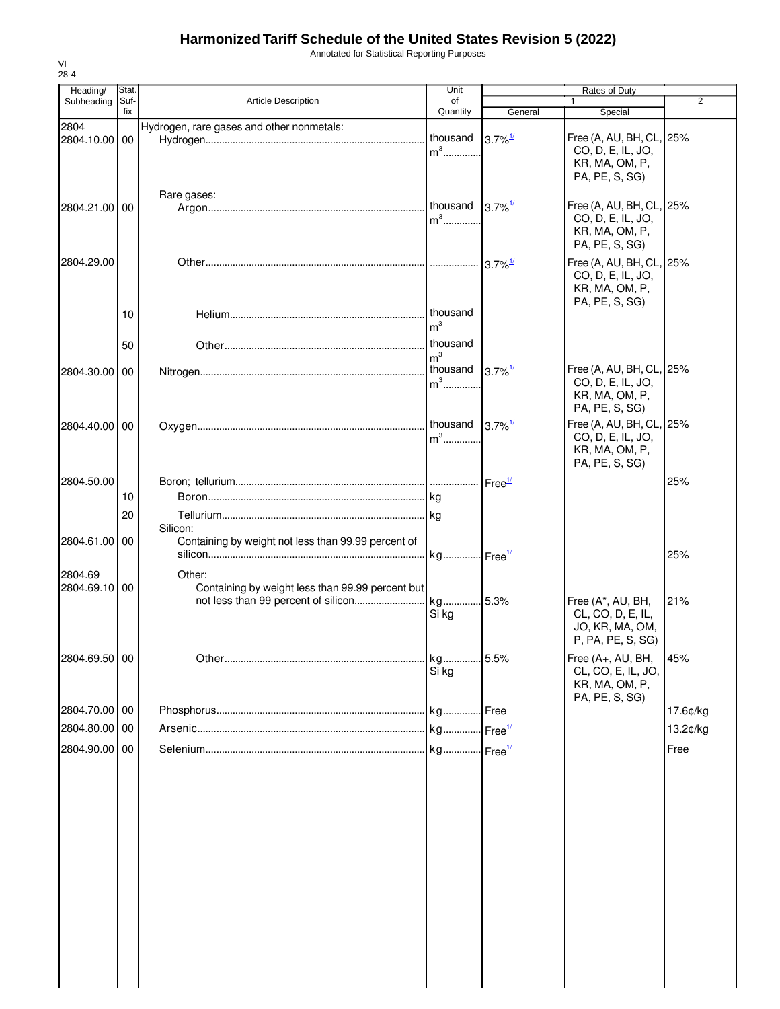Annotated for Statistical Reporting Purposes

| fix<br>Quantity<br>General<br>Special<br>2804<br>Hydrogen, rare gases and other nonmetals:<br>thousand<br>Free (A, AU, BH, CL, 25%<br>$3.7\%$ <sup>1/</sup><br>2804.10.00<br>00<br>$m3$<br>CO, D, E, IL, JO,<br>KR, MA, OM, P,<br>PA, PE, S, SG)<br>Rare gases:<br>thousand<br>Free (A, AU, BH, CL, 25%<br>$3.7\%$ <sup>1/</sup><br>2804.21.00 00<br>$m^3$<br>CO, D, E, IL, JO,<br>KR, MA, OM, P,<br>PA, PE, S, SG)<br>2804.29.00<br>Free (A, AU, BH, CL, 25%<br>CO, D, E, IL, JO,<br>KR, MA, OM, P,<br>PA, PE, S, SG)<br>thousand<br>10<br>m <sup>3</sup><br>thousand<br>50<br>m <sup>3</sup><br>Free (A, AU, BH, CL, 25%<br>thousand<br>$3.7\%$ <sup>1/</sup><br>2804.30.00 00<br>CO, D, E, IL, JO,<br>$m^3$<br>KR, MA, OM, P,<br>PA, PE, S, SG)<br>Free (A, AU, BH, CL, 25%<br>thousand $3.7\%$ <sup>1/</sup><br>2804.40.00 00<br>$m3$<br>CO, D, E, IL, JO,<br>KR, MA, OM, P,<br>PA, PE, S, SG)<br>2804.50.00<br>25%<br>10<br>20<br>Silicon:<br>Containing by weight not less than 99.99 percent of<br>2804.61.00 00<br>25%<br>2804.69<br>Other:<br>2804.69.10 00<br>Containing by weight less than 99.99 percent but<br>21%<br>Free (A*, AU, BH,<br>CL, CO, D, E, IL,<br>Si kg<br>JO, KR, MA, OM,<br>P, PA, PE, S, SG)<br>2804.69.50 00<br>Free (A+, AU, BH,<br>45%<br>Si ka<br>CL, CO, E, IL, JO,<br>KR, MA, OM, P,<br>PA, PE, S, SG)<br>2804.70.00 00<br>17.6¢/kg<br>2804.80.00 00<br>13.2¢/kg<br>2804.90.00 00<br>Free | Heading/   | Stat. |                            | Unit | Rates of Duty |   |
|-------------------------------------------------------------------------------------------------------------------------------------------------------------------------------------------------------------------------------------------------------------------------------------------------------------------------------------------------------------------------------------------------------------------------------------------------------------------------------------------------------------------------------------------------------------------------------------------------------------------------------------------------------------------------------------------------------------------------------------------------------------------------------------------------------------------------------------------------------------------------------------------------------------------------------------------------------------------------------------------------------------------------------------------------------------------------------------------------------------------------------------------------------------------------------------------------------------------------------------------------------------------------------------------------------------------------------------------------------------------------------------------------------------------------------|------------|-------|----------------------------|------|---------------|---|
|                                                                                                                                                                                                                                                                                                                                                                                                                                                                                                                                                                                                                                                                                                                                                                                                                                                                                                                                                                                                                                                                                                                                                                                                                                                                                                                                                                                                                               | Subheading | Suf-  | <b>Article Description</b> | of   | $\mathbf{1}$  | 2 |
|                                                                                                                                                                                                                                                                                                                                                                                                                                                                                                                                                                                                                                                                                                                                                                                                                                                                                                                                                                                                                                                                                                                                                                                                                                                                                                                                                                                                                               |            |       |                            |      |               |   |
|                                                                                                                                                                                                                                                                                                                                                                                                                                                                                                                                                                                                                                                                                                                                                                                                                                                                                                                                                                                                                                                                                                                                                                                                                                                                                                                                                                                                                               |            |       |                            |      |               |   |
|                                                                                                                                                                                                                                                                                                                                                                                                                                                                                                                                                                                                                                                                                                                                                                                                                                                                                                                                                                                                                                                                                                                                                                                                                                                                                                                                                                                                                               |            |       |                            |      |               |   |
|                                                                                                                                                                                                                                                                                                                                                                                                                                                                                                                                                                                                                                                                                                                                                                                                                                                                                                                                                                                                                                                                                                                                                                                                                                                                                                                                                                                                                               |            |       |                            |      |               |   |
|                                                                                                                                                                                                                                                                                                                                                                                                                                                                                                                                                                                                                                                                                                                                                                                                                                                                                                                                                                                                                                                                                                                                                                                                                                                                                                                                                                                                                               |            |       |                            |      |               |   |
|                                                                                                                                                                                                                                                                                                                                                                                                                                                                                                                                                                                                                                                                                                                                                                                                                                                                                                                                                                                                                                                                                                                                                                                                                                                                                                                                                                                                                               |            |       |                            |      |               |   |
|                                                                                                                                                                                                                                                                                                                                                                                                                                                                                                                                                                                                                                                                                                                                                                                                                                                                                                                                                                                                                                                                                                                                                                                                                                                                                                                                                                                                                               |            |       |                            |      |               |   |
|                                                                                                                                                                                                                                                                                                                                                                                                                                                                                                                                                                                                                                                                                                                                                                                                                                                                                                                                                                                                                                                                                                                                                                                                                                                                                                                                                                                                                               |            |       |                            |      |               |   |
|                                                                                                                                                                                                                                                                                                                                                                                                                                                                                                                                                                                                                                                                                                                                                                                                                                                                                                                                                                                                                                                                                                                                                                                                                                                                                                                                                                                                                               |            |       |                            |      |               |   |
|                                                                                                                                                                                                                                                                                                                                                                                                                                                                                                                                                                                                                                                                                                                                                                                                                                                                                                                                                                                                                                                                                                                                                                                                                                                                                                                                                                                                                               |            |       |                            |      |               |   |
|                                                                                                                                                                                                                                                                                                                                                                                                                                                                                                                                                                                                                                                                                                                                                                                                                                                                                                                                                                                                                                                                                                                                                                                                                                                                                                                                                                                                                               |            |       |                            |      |               |   |
|                                                                                                                                                                                                                                                                                                                                                                                                                                                                                                                                                                                                                                                                                                                                                                                                                                                                                                                                                                                                                                                                                                                                                                                                                                                                                                                                                                                                                               |            |       |                            |      |               |   |
|                                                                                                                                                                                                                                                                                                                                                                                                                                                                                                                                                                                                                                                                                                                                                                                                                                                                                                                                                                                                                                                                                                                                                                                                                                                                                                                                                                                                                               |            |       |                            |      |               |   |
|                                                                                                                                                                                                                                                                                                                                                                                                                                                                                                                                                                                                                                                                                                                                                                                                                                                                                                                                                                                                                                                                                                                                                                                                                                                                                                                                                                                                                               |            |       |                            |      |               |   |
|                                                                                                                                                                                                                                                                                                                                                                                                                                                                                                                                                                                                                                                                                                                                                                                                                                                                                                                                                                                                                                                                                                                                                                                                                                                                                                                                                                                                                               |            |       |                            |      |               |   |
|                                                                                                                                                                                                                                                                                                                                                                                                                                                                                                                                                                                                                                                                                                                                                                                                                                                                                                                                                                                                                                                                                                                                                                                                                                                                                                                                                                                                                               |            |       |                            |      |               |   |
|                                                                                                                                                                                                                                                                                                                                                                                                                                                                                                                                                                                                                                                                                                                                                                                                                                                                                                                                                                                                                                                                                                                                                                                                                                                                                                                                                                                                                               |            |       |                            |      |               |   |
|                                                                                                                                                                                                                                                                                                                                                                                                                                                                                                                                                                                                                                                                                                                                                                                                                                                                                                                                                                                                                                                                                                                                                                                                                                                                                                                                                                                                                               |            |       |                            |      |               |   |
|                                                                                                                                                                                                                                                                                                                                                                                                                                                                                                                                                                                                                                                                                                                                                                                                                                                                                                                                                                                                                                                                                                                                                                                                                                                                                                                                                                                                                               |            |       |                            |      |               |   |
|                                                                                                                                                                                                                                                                                                                                                                                                                                                                                                                                                                                                                                                                                                                                                                                                                                                                                                                                                                                                                                                                                                                                                                                                                                                                                                                                                                                                                               |            |       |                            |      |               |   |
|                                                                                                                                                                                                                                                                                                                                                                                                                                                                                                                                                                                                                                                                                                                                                                                                                                                                                                                                                                                                                                                                                                                                                                                                                                                                                                                                                                                                                               |            |       |                            |      |               |   |
|                                                                                                                                                                                                                                                                                                                                                                                                                                                                                                                                                                                                                                                                                                                                                                                                                                                                                                                                                                                                                                                                                                                                                                                                                                                                                                                                                                                                                               |            |       |                            |      |               |   |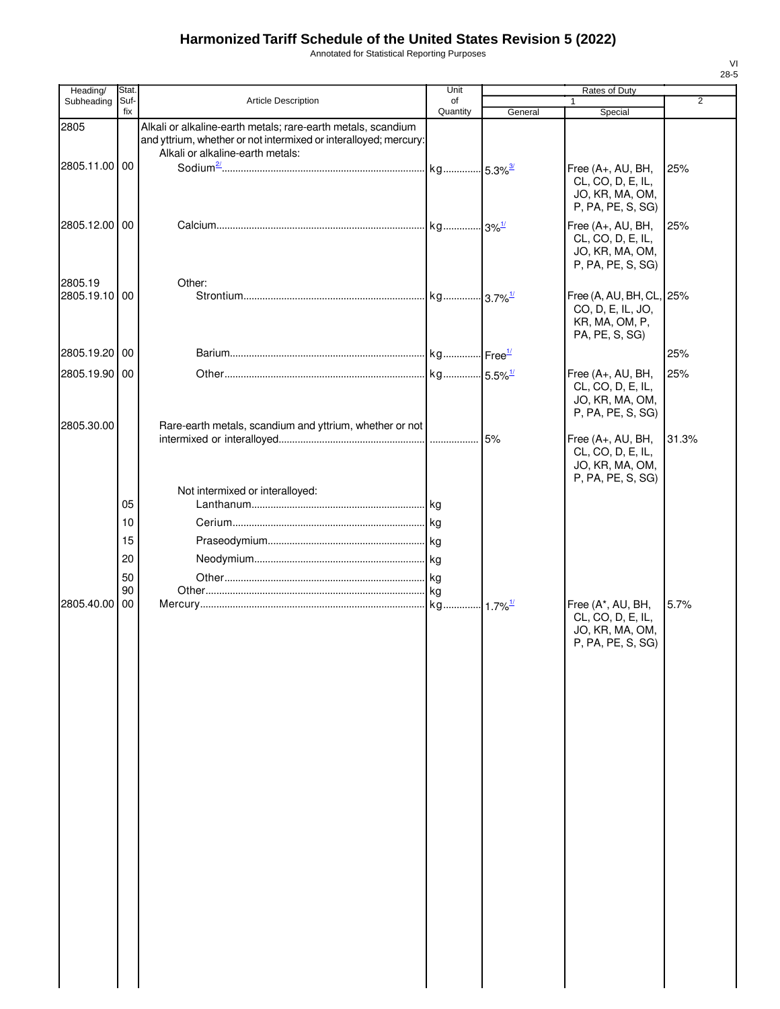Annotated for Statistical Reporting Purposes

| Heading/                 | Stat.            |                                                                                                                                                                      | Unit           |         | Rates of Duty                                                                     |                |
|--------------------------|------------------|----------------------------------------------------------------------------------------------------------------------------------------------------------------------|----------------|---------|-----------------------------------------------------------------------------------|----------------|
| Subheading               | Suf-<br>fix      | Article Description                                                                                                                                                  | of<br>Quantity | General | $\mathbf{1}$<br>Special                                                           | $\overline{2}$ |
| 2805                     |                  | Alkali or alkaline-earth metals; rare-earth metals, scandium<br>and yttrium, whether or not intermixed or interalloyed; mercury:<br>Alkali or alkaline-earth metals: |                |         |                                                                                   |                |
| 2805.11.00 00            |                  |                                                                                                                                                                      |                |         | Free (A+, AU, BH,<br>CL, CO, D, E, IL,<br>JO, KR, MA, OM,<br>P, PA, PE, S, SG)    | 25%            |
| 2805.12.00 00            |                  |                                                                                                                                                                      |                |         | Free (A+, AU, BH,<br>CL, CO, D, E, IL,<br>JO, KR, MA, OM,<br>P, PA, PE, S, SG)    | 25%            |
| 2805.19<br>2805.19.10 00 |                  | Other:                                                                                                                                                               |                |         | Free (A, AU, BH, CL, 25%<br>CO, D, E, IL, JO,<br>KR, MA, OM, P,<br>PA, PE, S, SG) |                |
| 2805.19.20 00            |                  |                                                                                                                                                                      |                |         |                                                                                   | 25%            |
| 2805.19.90 00            |                  |                                                                                                                                                                      |                |         | Free (A+, AU, BH,                                                                 | 25%            |
|                          |                  |                                                                                                                                                                      |                |         | CL, CO, D, E, IL,<br>JO, KR, MA, OM,<br>P, PA, PE, S, SG)                         |                |
| 2805.30.00               |                  | Rare-earth metals, scandium and yttrium, whether or not                                                                                                              |                |         | Free (A+, AU, BH,<br>CL, CO, D, E, IL,<br>JO, KR, MA, OM,<br>P, PA, PE, S, SG)    | 31.3%          |
|                          | 05               | Not intermixed or interalloyed:                                                                                                                                      |                |         |                                                                                   |                |
|                          | 10               |                                                                                                                                                                      |                |         |                                                                                   |                |
|                          | 15               |                                                                                                                                                                      |                |         |                                                                                   |                |
|                          | 20               |                                                                                                                                                                      |                |         |                                                                                   |                |
|                          | 50               |                                                                                                                                                                      |                |         |                                                                                   |                |
|                          | 90               |                                                                                                                                                                      |                |         |                                                                                   |                |
| 2805.40.00               | $\overline{100}$ |                                                                                                                                                                      |                |         | Free (A*, AU, BH,<br>CL, CO, D, E, IL,<br>JO, KR, MA, OM,<br>P, PA, PE, S, SG)    | 5.7%           |
|                          |                  |                                                                                                                                                                      |                |         |                                                                                   |                |
|                          |                  |                                                                                                                                                                      |                |         |                                                                                   |                |
|                          |                  |                                                                                                                                                                      |                |         |                                                                                   |                |
|                          |                  |                                                                                                                                                                      |                |         |                                                                                   |                |
|                          |                  |                                                                                                                                                                      |                |         |                                                                                   |                |
|                          |                  |                                                                                                                                                                      |                |         |                                                                                   |                |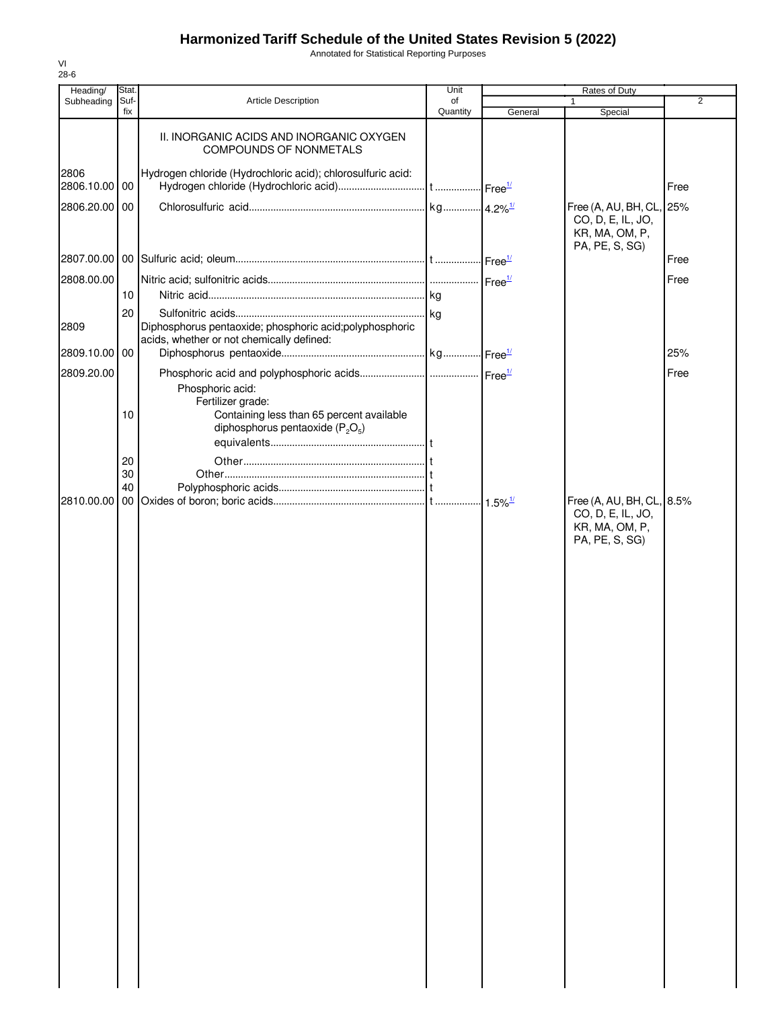Annotated for Statistical Reporting Purposes

| Heading/              | Stat.       |                                                                                                                            | Unit           | Rates of Duty |                                                                                    |                |  |
|-----------------------|-------------|----------------------------------------------------------------------------------------------------------------------------|----------------|---------------|------------------------------------------------------------------------------------|----------------|--|
| Subheading            | Suf-<br>fix | <b>Article Description</b>                                                                                                 | of<br>Quantity | General       | $\mathbf{1}$<br>Special                                                            | $\overline{2}$ |  |
|                       |             | II. INORGANIC ACIDS AND INORGANIC OXYGEN<br>COMPOUNDS OF NONMETALS                                                         |                |               |                                                                                    |                |  |
| 2806<br>2806.10.00 00 |             | Hydrogen chloride (Hydrochloric acid); chlorosulfuric acid:                                                                |                |               |                                                                                    | Free           |  |
| 2806.20.00 00         |             |                                                                                                                            |                |               | Free (A, AU, BH, CL,<br>CO, D, E, IL, JO,<br>KR, MA, OM, P,<br>PA, PE, S, SG)      | 25%            |  |
|                       |             |                                                                                                                            |                |               |                                                                                    | Free           |  |
| 2808.00.00            |             |                                                                                                                            |                |               |                                                                                    | Free           |  |
|                       | 10          |                                                                                                                            |                |               |                                                                                    |                |  |
|                       | 20          |                                                                                                                            |                |               |                                                                                    |                |  |
| 2809                  |             | Diphosphorus pentaoxide; phosphoric acid; polyphosphoric<br>acids, whether or not chemically defined:                      |                |               |                                                                                    |                |  |
| 2809.10.00 00         |             |                                                                                                                            |                |               |                                                                                    | 25%            |  |
| 2809.20.00            |             |                                                                                                                            |                |               |                                                                                    | Free           |  |
|                       | 10          | Phosphoric acid:<br>Fertilizer grade:<br>Containing less than 65 percent available<br>diphosphorus pentaoxide ( $P_2O_5$ ) |                |               |                                                                                    |                |  |
|                       | 20          |                                                                                                                            |                |               |                                                                                    |                |  |
|                       | 30<br>40    |                                                                                                                            |                |               |                                                                                    |                |  |
|                       |             |                                                                                                                            |                |               | Free (A, AU, BH, CL, 8.5%<br>CO, D, E, IL, JO,<br>KR, MA, OM, P,<br>PA, PE, S, SG) |                |  |
|                       |             |                                                                                                                            |                |               |                                                                                    |                |  |
|                       |             |                                                                                                                            |                |               |                                                                                    |                |  |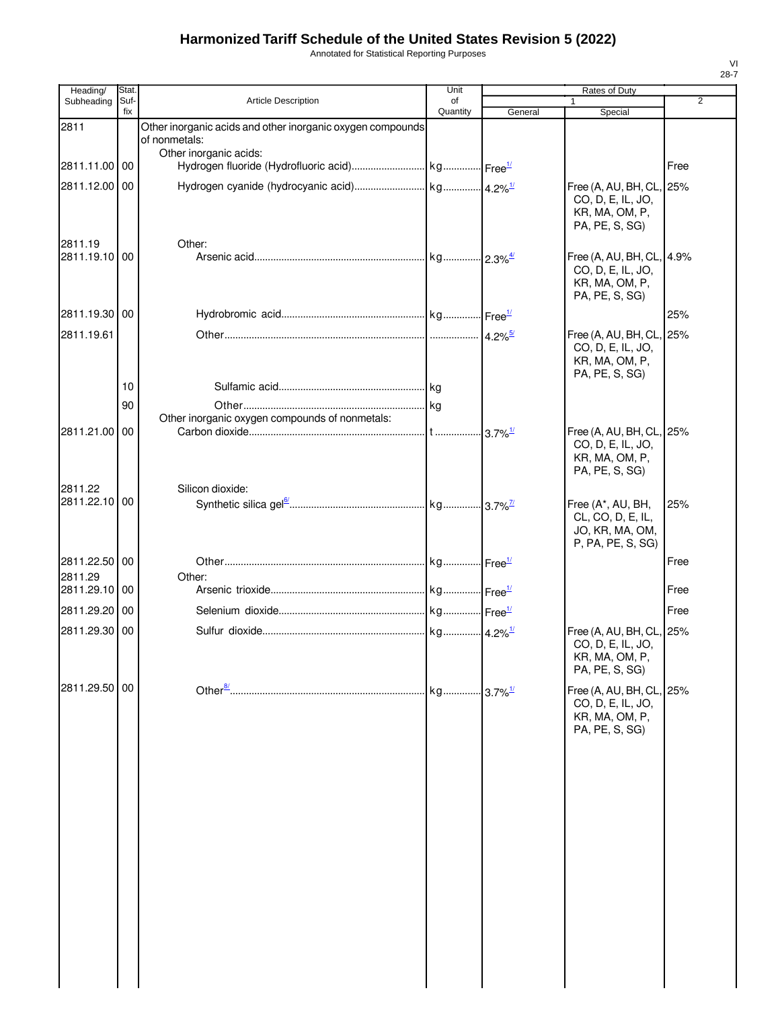Annotated for Statistical Reporting Purposes

| Heading/                 | Stat.       |                                                                             | Unit           |                        | Rates of Duty                                                                     |                |
|--------------------------|-------------|-----------------------------------------------------------------------------|----------------|------------------------|-----------------------------------------------------------------------------------|----------------|
| Subheading               | Suf-<br>fix | <b>Article Description</b>                                                  | of<br>Quantity | General                | Special                                                                           | $\overline{2}$ |
| 2811                     |             | Other inorganic acids and other inorganic oxygen compounds<br>of nonmetals: |                |                        |                                                                                   |                |
| 2811.11.00 00            |             | Other inorganic acids:                                                      |                |                        |                                                                                   | Free           |
| 2811.12.00 00            |             |                                                                             |                |                        | Free (A, AU, BH, CL,<br>CO, D, E, IL, JO,<br>KR, MA, OM, P,<br>PA, PE, S, SG)     | 25%            |
| 2811.19<br>2811.19.10 00 |             | Other:                                                                      |                |                        | Free (A, AU, BH, CL,<br>CO, D, E, IL, JO,<br>KR, MA, OM, P,<br>PA, PE, S, SG)     | 4.9%           |
| 2811.19.30 00            |             |                                                                             |                |                        |                                                                                   | 25%            |
| 2811.19.61               | 10          |                                                                             |                |                        | Free (A, AU, BH, CL,<br>CO, D, E, IL, JO,<br>KR, MA, OM, P,<br>PA, PE, S, SG)     | 25%            |
|                          | 90          |                                                                             |                |                        |                                                                                   |                |
|                          |             | Other inorganic oxygen compounds of nonmetals:                              |                |                        |                                                                                   |                |
| 2811.21.00 00            |             |                                                                             |                | $-3.7\%$ <sup>1/</sup> | Free (A, AU, BH, CL,<br>CO, D, E, IL, JO,<br>KR, MA, OM, P,<br>PA, PE, S, SG)     | 25%            |
| 2811.22<br>2811.22.10 00 |             | Silicon dioxide:                                                            |                |                        | Free (A*, AU, BH,<br>CL, CO, D, E, IL,<br>JO, KR, MA, OM,<br>P, PA, PE, S, SG)    | 25%            |
| 2811.22.50 00            |             |                                                                             |                |                        |                                                                                   | Free           |
| 2811.29<br>2811.29.10 00 |             | Other:                                                                      |                |                        |                                                                                   | Free           |
| 2811.29.20 00            |             |                                                                             |                |                        |                                                                                   | Free           |
| 2811.29.30 00            |             |                                                                             |                |                        | Free (A, AU, BH, CL, 25%<br>CO, D, E, IL, JO,<br>KR, MA, OM, P,<br>PA, PE, S, SG) |                |
| 2811.29.50 00            |             |                                                                             |                |                        | Free (A, AU, BH, CL, 25%<br>CO, D, E, IL, JO,<br>KR, MA, OM, P,<br>PA, PE, S, SG) |                |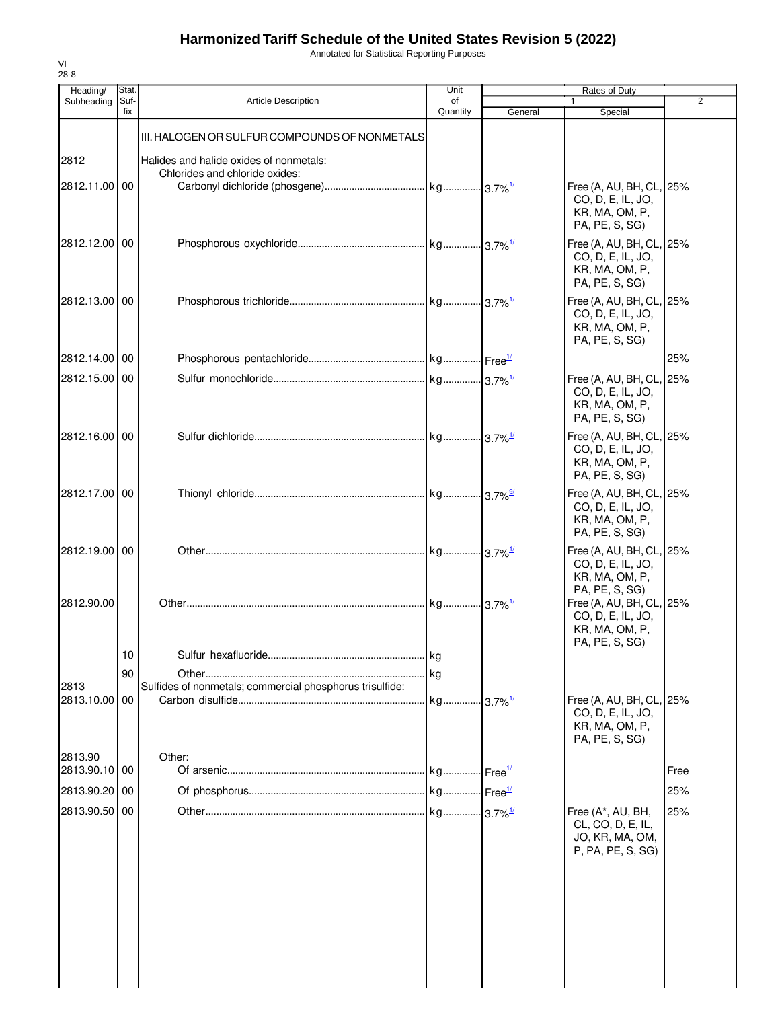Annotated for Statistical Reporting Purposes

| <b>Article Description</b><br>III. HALOGEN OR SULFUR COMPOUNDS OF NONMETALS<br>Halides and halide oxides of nonmetals:<br>Chlorides and chloride oxides: | of<br>Quantity                                           | General | Special<br>Free (A, AU, BH, CL, 25%<br>CO, D, E, IL, JO,<br>KR, MA, OM, P,<br>PA, PE, S, SG)<br>Free (A, AU, BH, CL, 25%<br>CO, D, E, IL, JO,<br>KR, MA, OM, P,<br>PA, PE, S, SG)<br>Free (A, AU, BH, CL, 25%<br>CO, D, E, IL, JO,<br>KR, MA, OM, P,<br>PA, PE, S, SG)<br>Free (A, AU, BH, CL, 25%<br>CO, D, E, IL, JO,<br>KR, MA, OM, P,<br>PA, PE, S, SG)<br>Free (A, AU, BH, CL, 25%<br>CO, D, E, IL, JO,<br>KR, MA, OM, P,<br>PA, PE, S, SG)<br>Free (A, AU, BH, CL, 25%<br>CO, D, E, IL, JO,<br>KR, MA, OM, P,<br>PA, PE, S, SG) | 2<br>25%                                                                                 |
|----------------------------------------------------------------------------------------------------------------------------------------------------------|----------------------------------------------------------|---------|---------------------------------------------------------------------------------------------------------------------------------------------------------------------------------------------------------------------------------------------------------------------------------------------------------------------------------------------------------------------------------------------------------------------------------------------------------------------------------------------------------------------------------------|------------------------------------------------------------------------------------------|
|                                                                                                                                                          |                                                          |         |                                                                                                                                                                                                                                                                                                                                                                                                                                                                                                                                       |                                                                                          |
|                                                                                                                                                          |                                                          |         |                                                                                                                                                                                                                                                                                                                                                                                                                                                                                                                                       |                                                                                          |
|                                                                                                                                                          |                                                          |         |                                                                                                                                                                                                                                                                                                                                                                                                                                                                                                                                       |                                                                                          |
|                                                                                                                                                          |                                                          |         |                                                                                                                                                                                                                                                                                                                                                                                                                                                                                                                                       |                                                                                          |
|                                                                                                                                                          |                                                          |         |                                                                                                                                                                                                                                                                                                                                                                                                                                                                                                                                       |                                                                                          |
|                                                                                                                                                          |                                                          |         |                                                                                                                                                                                                                                                                                                                                                                                                                                                                                                                                       |                                                                                          |
|                                                                                                                                                          |                                                          |         |                                                                                                                                                                                                                                                                                                                                                                                                                                                                                                                                       |                                                                                          |
|                                                                                                                                                          |                                                          |         |                                                                                                                                                                                                                                                                                                                                                                                                                                                                                                                                       |                                                                                          |
|                                                                                                                                                          |                                                          |         |                                                                                                                                                                                                                                                                                                                                                                                                                                                                                                                                       |                                                                                          |
|                                                                                                                                                          |                                                          |         |                                                                                                                                                                                                                                                                                                                                                                                                                                                                                                                                       |                                                                                          |
|                                                                                                                                                          |                                                          |         |                                                                                                                                                                                                                                                                                                                                                                                                                                                                                                                                       |                                                                                          |
|                                                                                                                                                          |                                                          |         |                                                                                                                                                                                                                                                                                                                                                                                                                                                                                                                                       |                                                                                          |
|                                                                                                                                                          |                                                          |         | Free (A, AU, BH, CL, 25%<br>CO, D, E, IL, JO,<br>KR, MA, OM, P,                                                                                                                                                                                                                                                                                                                                                                                                                                                                       |                                                                                          |
|                                                                                                                                                          |                                                          |         | PA, PE, S, SG)<br>CO, D, E, IL, JO,<br>KR, MA, OM, P,                                                                                                                                                                                                                                                                                                                                                                                                                                                                                 |                                                                                          |
|                                                                                                                                                          | kg                                                       |         |                                                                                                                                                                                                                                                                                                                                                                                                                                                                                                                                       |                                                                                          |
|                                                                                                                                                          |                                                          |         |                                                                                                                                                                                                                                                                                                                                                                                                                                                                                                                                       |                                                                                          |
|                                                                                                                                                          | kg                                                       |         | CO, D, E, IL, JO,<br>KR, MA, OM, P,                                                                                                                                                                                                                                                                                                                                                                                                                                                                                                   |                                                                                          |
| Other:                                                                                                                                                   |                                                          |         |                                                                                                                                                                                                                                                                                                                                                                                                                                                                                                                                       |                                                                                          |
|                                                                                                                                                          |                                                          |         |                                                                                                                                                                                                                                                                                                                                                                                                                                                                                                                                       | Free                                                                                     |
|                                                                                                                                                          |                                                          |         |                                                                                                                                                                                                                                                                                                                                                                                                                                                                                                                                       | 25%                                                                                      |
|                                                                                                                                                          |                                                          |         | Free (A*, AU, BH,<br>CL, CO, D, E, IL,<br>JO, KR, MA, OM,<br>P, PA, PE, S, SG)                                                                                                                                                                                                                                                                                                                                                                                                                                                        | 25%                                                                                      |
|                                                                                                                                                          | Sulfides of nonmetals; commercial phosphorus trisulfide: | $\log$  | $.13.7\%$ <sup>1/</sup>                                                                                                                                                                                                                                                                                                                                                                                                                                                                                                               | Free (A, AU, BH, CL, 25%<br>PA, PE, S, SG)<br>Free (A, AU, BH, CL, 25%<br>PA, PE, S, SG) |

VI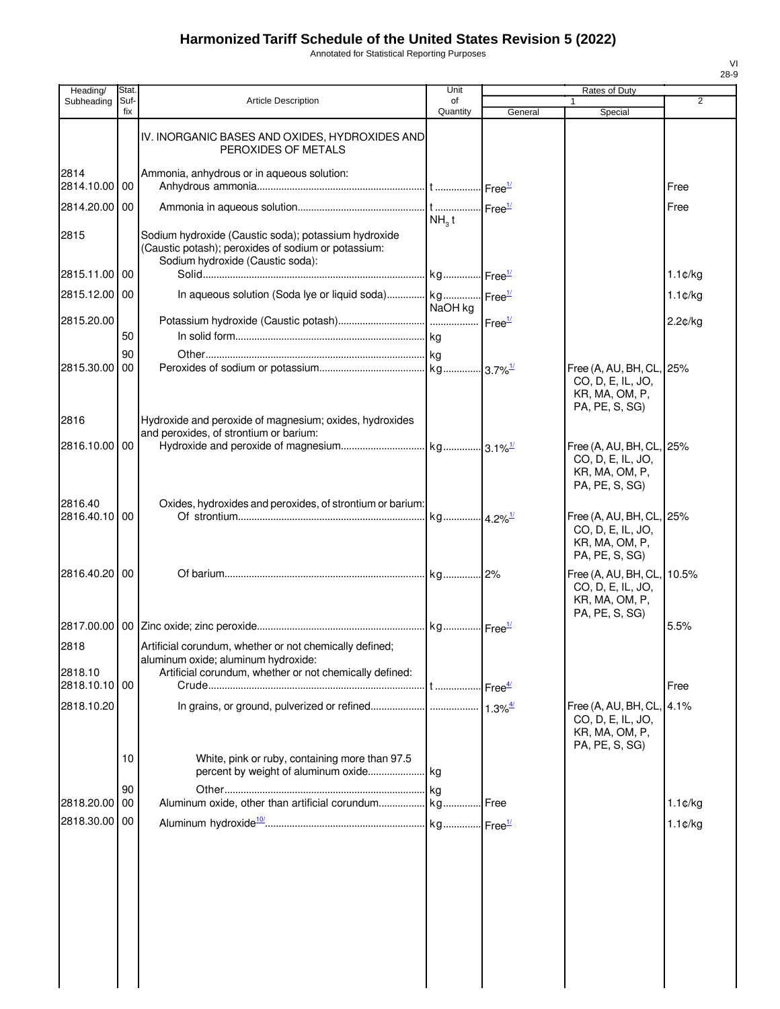Annotated for Statistical Reporting Purposes

| Heading/              | Stat.       |                                                                                                                                                           | Unit              |                       | Rates of Duty                                                                       |                      |
|-----------------------|-------------|-----------------------------------------------------------------------------------------------------------------------------------------------------------|-------------------|-----------------------|-------------------------------------------------------------------------------------|----------------------|
| Subheading            | Suf-<br>fix | <b>Article Description</b>                                                                                                                                | of<br>Quantity    | General               | Special                                                                             | 2                    |
|                       |             | IV. INORGANIC BASES AND OXIDES, HYDROXIDES AND<br>PEROXIDES OF METALS                                                                                     |                   |                       |                                                                                     |                      |
| 2814<br>2814.10.00 00 |             | Ammonia, anhydrous or in aqueous solution:                                                                                                                |                   |                       |                                                                                     | Free                 |
| 2814.20.00 00         |             |                                                                                                                                                           | NH <sub>3</sub> t |                       |                                                                                     | Free                 |
| 2815                  |             | Sodium hydroxide (Caustic soda); potassium hydroxide<br>(Caustic potash); peroxides of sodium or potassium:<br>Sodium hydroxide (Caustic soda):           |                   |                       |                                                                                     |                      |
| 2815.11.00 00         |             |                                                                                                                                                           |                   |                       |                                                                                     | $1.1 \, \text{C/kg}$ |
| 2815.12.00 00         |             | In aqueous solution (Soda lye or liquid soda) kg Free <sup>1/</sup>                                                                                       | NaOH kg           |                       |                                                                                     | $1.1 \, \text{C/kg}$ |
| 2815.20.00            | 50          |                                                                                                                                                           |                   |                       |                                                                                     | 2.2¢/kg              |
|                       | 90          |                                                                                                                                                           |                   |                       |                                                                                     |                      |
| 2815.30.00            | 00          |                                                                                                                                                           |                   |                       | Free (A, AU, BH, CL, 25%<br>CO, D, E, IL, JO,<br>KR, MA, OM, P,<br>PA, PE, S, SG)   |                      |
| 2816                  |             | Hydroxide and peroxide of magnesium; oxides, hydroxides<br>and peroxides, of strontium or barium:                                                         |                   |                       |                                                                                     |                      |
| 2816.10.00 00         |             |                                                                                                                                                           |                   |                       | Free (A, AU, BH, CL, 25%<br>CO, D, E, IL, JO,<br>KR, MA, OM, P,<br>PA, PE, S, SG)   |                      |
| 2816.40<br>2816.40.10 | 00          | Oxides, hydroxides and peroxides, of strontium or barium:                                                                                                 |                   |                       | Free (A, AU, BH, CL, 25%<br>CO, D, E, IL, JO,<br>KR, MA, OM, P,                     |                      |
| 2816.40.20 00         |             |                                                                                                                                                           |                   |                       | PA, PE, S, SG)<br>Free (A, AU, BH, CL, 10.5%<br>CO, D, E, IL, JO,<br>KR, MA, OM, P, |                      |
|                       |             |                                                                                                                                                           |                   |                       | PA, PE, S, SG)                                                                      | 5.5%                 |
| 2818<br>2818.10       |             | Artificial corundum, whether or not chemically defined;<br>aluminum oxide; aluminum hydroxide:<br>Artificial corundum, whether or not chemically defined: |                   |                       |                                                                                     |                      |
| 2818.10.10 00         |             |                                                                                                                                                           |                   |                       |                                                                                     | Free                 |
| 2818.10.20            |             |                                                                                                                                                           |                   | $1.3\%$ <sup>4/</sup> | Free (A, AU, BH, CL,<br>CO, D, E, IL, JO,<br>KR, MA, OM, P,<br>PA, PE, S, SG)       | 4.1%                 |
|                       | 10          | White, pink or ruby, containing more than 97.5<br>percent by weight of aluminum oxide                                                                     | kg                |                       |                                                                                     |                      |
| 2818.20.00            | 90<br>00    |                                                                                                                                                           |                   |                       |                                                                                     | $1.1 \, \text{C/kg}$ |
| 2818.30.00            | 00          |                                                                                                                                                           |                   |                       |                                                                                     | $1.1 \text{C/kg}$    |
|                       |             |                                                                                                                                                           |                   |                       |                                                                                     |                      |
|                       |             |                                                                                                                                                           |                   |                       |                                                                                     |                      |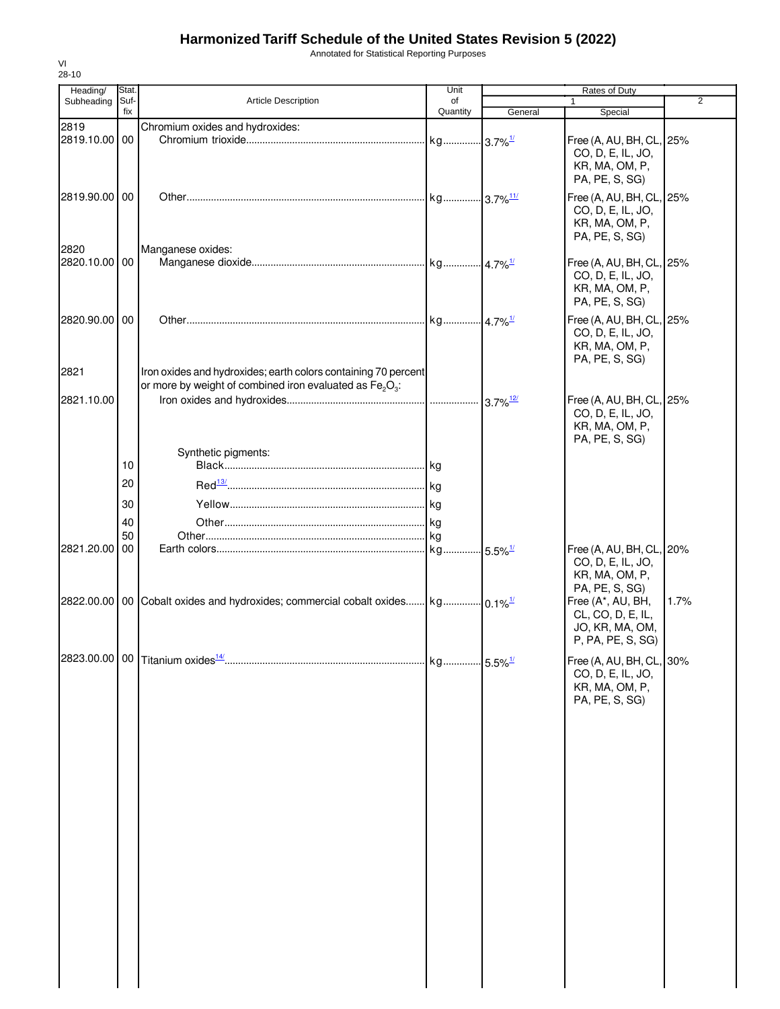Annotated for Statistical Reporting Purposes

| Heading/      | Stat.       |                                                                                            | Unit                   |                        | Rates of Duty                                                                     |                |
|---------------|-------------|--------------------------------------------------------------------------------------------|------------------------|------------------------|-----------------------------------------------------------------------------------|----------------|
| Subheading    | Suf-<br>fix | Article Description                                                                        | of<br>Quantity         | General                | 1<br>Special                                                                      | $\overline{2}$ |
| 2819          |             | Chromium oxides and hydroxides:                                                            |                        |                        |                                                                                   |                |
| 2819.10.00    | 00          |                                                                                            | kg                     | $-3.7\%$ <sup>1/</sup> | Free (A, AU, BH, CL, 25%<br>CO, D, E, IL, JO,<br>KR, MA, OM, P,<br>PA, PE, S, SG) |                |
| 2819.90.00 00 |             |                                                                                            | kg 3.7% <sup>11/</sup> |                        | Free (A, AU, BH, CL, 25%<br>CO, D, E, IL, JO,<br>KR, MA, OM, P,<br>PA, PE, S, SG) |                |
| 2820          |             | Manganese oxides:                                                                          |                        |                        |                                                                                   |                |
| 2820.10.00    | 00          |                                                                                            |                        |                        | Free (A, AU, BH, CL, 25%<br>CO, D, E, IL, JO,<br>KR, MA, OM, P,<br>PA, PE, S, SG) |                |
| 2820.90.00 00 |             |                                                                                            | kg 4.7% <sup>1/</sup>  |                        | Free (A, AU, BH, CL, 25%<br>CO, D, E, IL, JO,<br>KR, MA, OM, P,<br>PA, PE, S, SG) |                |
| 2821          |             | Iron oxides and hydroxides; earth colors containing 70 percent                             |                        |                        |                                                                                   |                |
|               |             | or more by weight of combined iron evaluated as Fe <sub>2</sub> O <sub>3</sub> :           |                        |                        |                                                                                   |                |
| 2821.10.00    |             |                                                                                            |                        | $3.7\%$ <sup>12/</sup> | Free (A, AU, BH, CL, 25%<br>CO, D, E, IL, JO,<br>KR, MA, OM, P,<br>PA, PE, S, SG) |                |
|               |             | Synthetic pigments:                                                                        |                        |                        |                                                                                   |                |
|               | 10          |                                                                                            |                        |                        |                                                                                   |                |
|               | 20          |                                                                                            |                        |                        |                                                                                   |                |
|               | 30          |                                                                                            |                        |                        |                                                                                   |                |
|               | 40          |                                                                                            |                        |                        |                                                                                   |                |
|               | 50          |                                                                                            |                        |                        |                                                                                   |                |
| 2821.20.00    | 00          |                                                                                            | kg                     | $-5.5\%$ <sup>1/</sup> | Free (A, AU, BH, CL, 20%<br>CO, D, E, IL, JO,<br>KR, MA, OM, P,<br>PA, PE, S, SG) |                |
|               |             | 2822.00.00 00 Cobalt oxides and hydroxides; commercial cobalt oxides kg 0.1% <sup>1/</sup> |                        |                        | Free (A*, AU, BH,<br>CL, CO, D, E, IL,<br>JO, KR, MA, OM,<br>P, PA, PE, S, SG)    | 1.7%           |
|               |             |                                                                                            |                        |                        | Free (A, AU, BH, CL, 30%<br>CO, D, E, IL, JO,<br>KR, MA, OM, P,<br>PA, PE, S, SG) |                |
|               |             |                                                                                            |                        |                        |                                                                                   |                |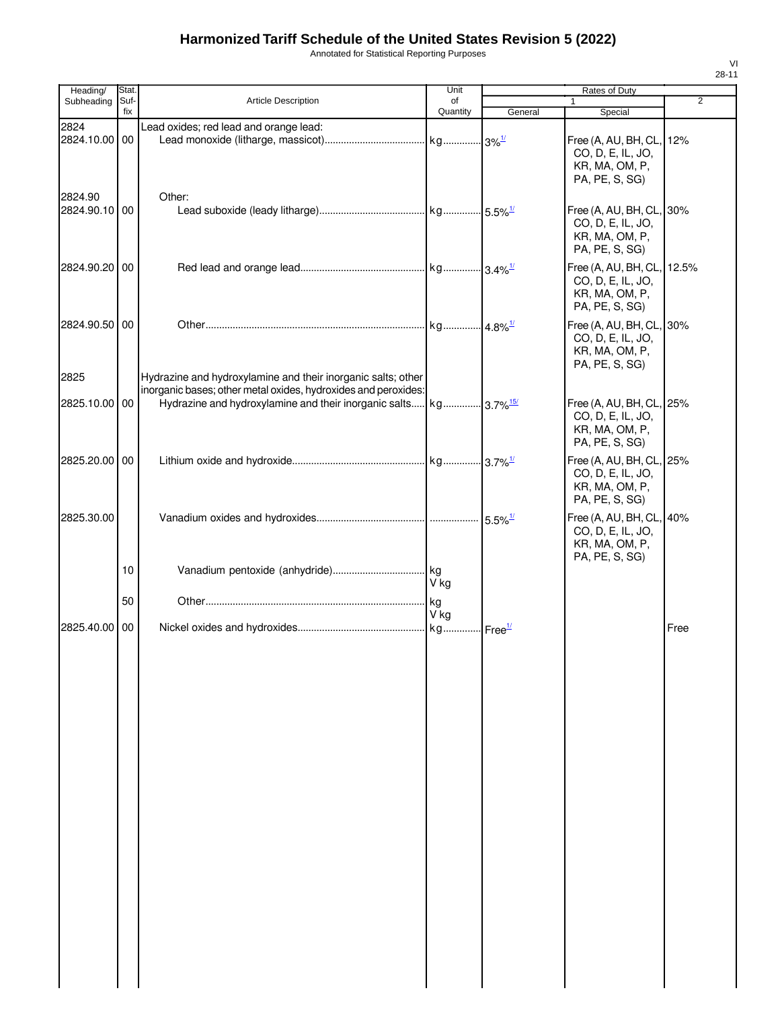Annotated for Statistical Reporting Purposes

| Heading/                 | Stat.       |                                                                                                                                | Unit           | Rates of Duty |                                                                                                       |      |
|--------------------------|-------------|--------------------------------------------------------------------------------------------------------------------------------|----------------|---------------|-------------------------------------------------------------------------------------------------------|------|
| Subheading               | Suf-<br>fix | <b>Article Description</b>                                                                                                     | of<br>Quantity | General       | $\mathbf{1}$<br>Special                                                                               | 2    |
| 2824<br>2824.10.00 00    |             | Lead oxides; red lead and orange lead:                                                                                         |                |               | Free (A, AU, BH, CL,<br>CO, D, E, IL, JO,                                                             | 12%  |
| 2824.90<br>2824.90.10 00 |             | Other:                                                                                                                         |                |               | KR, MA, OM, P,<br>PA, PE, S, SG)<br>Free (A, AU, BH, CL, 30%<br>CO, D, E, IL, JO,<br>KR, MA, OM, P,   |      |
| 2824.90.20 00            |             |                                                                                                                                |                |               | PA, PE, S, SG)<br>Free (A, AU, BH, CL, 12.5%<br>CO, D, E, IL, JO,<br>KR, MA, OM, P,<br>PA, PE, S, SG) |      |
| 2824.90.50 00            |             |                                                                                                                                |                |               | Free (A, AU, BH, CL, 30%<br>CO, D, E, IL, JO,<br>KR, MA, OM, P,<br>PA, PE, S, SG)                     |      |
| 2825                     |             | Hydrazine and hydroxylamine and their inorganic salts; other<br>inorganic bases; other metal oxides, hydroxides and peroxides: |                |               |                                                                                                       |      |
| 2825.10.00 00            |             | Hydrazine and hydroxylamine and their inorganic salts kg 3.7% <sup>15/</sup>                                                   |                |               | Free (A, AU, BH, CL, 25%<br>CO, D, E, IL, JO,<br>KR, MA, OM, P,<br>PA, PE, S, SG)                     |      |
| 2825.20.00 00            |             |                                                                                                                                |                |               | Free (A, AU, BH, CL, 25%<br>CO, D, E, IL, JO,<br>KR, MA, OM, P,<br>PA, PE, S, SG)                     |      |
| 2825.30.00               |             |                                                                                                                                |                |               | Free (A, AU, BH, CL, 40%<br>CO, D, E, IL, JO,<br>KR, MA, OM, P,<br>PA, PE, S, SG)                     |      |
|                          | 10          |                                                                                                                                | V kg           |               |                                                                                                       |      |
|                          | 50          |                                                                                                                                | V kg           |               |                                                                                                       |      |
| 2825.40.00 00            |             |                                                                                                                                |                |               |                                                                                                       | Free |
|                          |             |                                                                                                                                |                |               |                                                                                                       |      |
|                          |             |                                                                                                                                |                |               |                                                                                                       |      |
|                          |             |                                                                                                                                |                |               |                                                                                                       |      |
|                          |             |                                                                                                                                |                |               |                                                                                                       |      |
|                          |             |                                                                                                                                |                |               |                                                                                                       |      |
|                          |             |                                                                                                                                |                |               |                                                                                                       |      |
|                          |             |                                                                                                                                |                |               |                                                                                                       |      |
|                          |             |                                                                                                                                |                |               |                                                                                                       |      |
|                          |             |                                                                                                                                |                |               |                                                                                                       |      |
|                          |             |                                                                                                                                |                |               |                                                                                                       |      |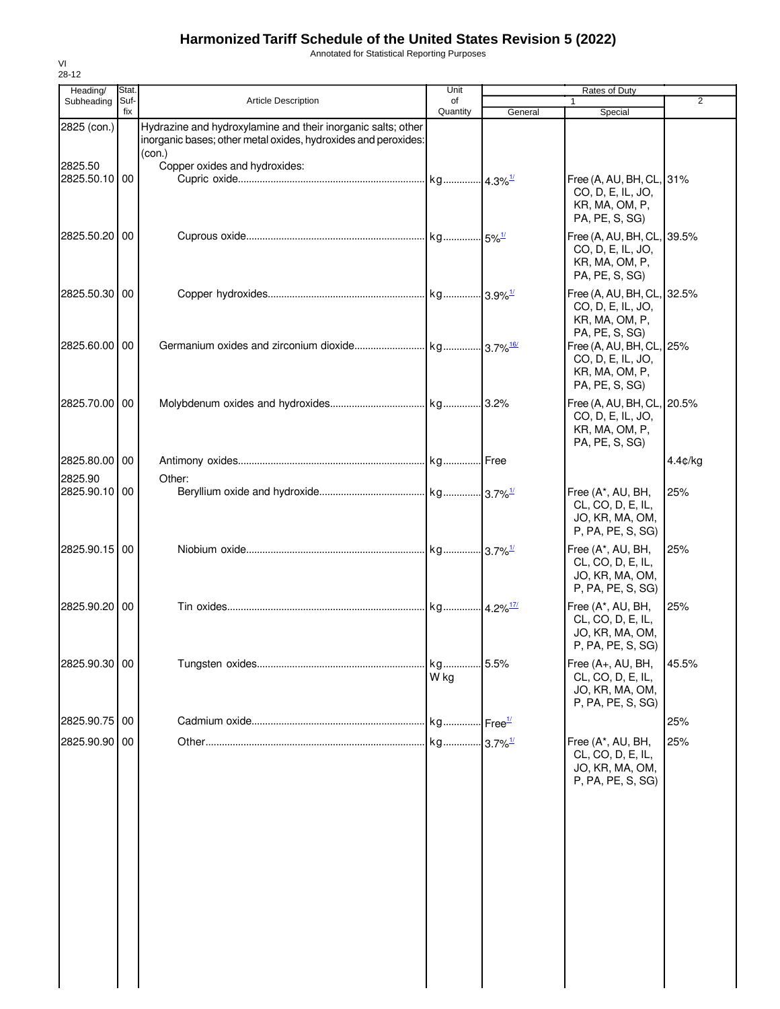Annotated for Statistical Reporting Purposes

| Heading/                 | Stat.       |                                                                                                                                          | Unit           | Rates of Duty |                                                                                     |                |
|--------------------------|-------------|------------------------------------------------------------------------------------------------------------------------------------------|----------------|---------------|-------------------------------------------------------------------------------------|----------------|
| Subheading               | Suf-<br>fix | <b>Article Description</b>                                                                                                               | of<br>Quantity | General       | $\mathbf{1}$<br>Special                                                             | $\overline{2}$ |
| 2825 (con.)              |             | Hydrazine and hydroxylamine and their inorganic salts; other<br>inorganic bases; other metal oxides, hydroxides and peroxides:<br>(con.) |                |               |                                                                                     |                |
| 2825.50<br>2825.50.10 00 |             | Copper oxides and hydroxides:                                                                                                            |                |               | Free (A, AU, BH, CL, 31%<br>CO, D, E, IL, JO,<br>KR, MA, OM, P,<br>PA, PE, S, SG)   |                |
| 2825.50.20 00            |             |                                                                                                                                          |                |               | Free (A, AU, BH, CL, 39.5%<br>CO, D, E, IL, JO,<br>KR, MA, OM, P,<br>PA, PE, S, SG) |                |
| 2825.50.30 00            |             |                                                                                                                                          |                |               | Free (A, AU, BH, CL, 32.5%<br>CO, D, E, IL, JO,<br>KR, MA, OM, P,<br>PA, PE, S, SG) |                |
| 2825.60.00 00            |             |                                                                                                                                          |                |               | Free (A, AU, BH, CL,<br>CO, D, E, IL, JO,<br>KR, MA, OM, P,<br>PA, PE, S, SG)       | 25%            |
| 2825.70.00 00            |             |                                                                                                                                          |                |               | Free (A, AU, BH, CL,<br>CO, D, E, IL, JO,<br>KR, MA, OM, P,<br>PA, PE, S, SG)       | 20.5%          |
| 2825.80.00 00            |             |                                                                                                                                          |                |               |                                                                                     | 4.4¢/kg        |
| 2825.90<br>2825.90.10 00 |             | Other:                                                                                                                                   |                |               | Free (A*, AU, BH,<br>CL, CO, D, E, IL,<br>JO, KR, MA, OM,<br>P, PA, PE, S, SG)      | 25%            |
| 2825.90.15 00            |             |                                                                                                                                          |                |               | Free (A*, AU, BH,<br>CL, CO, D, E, IL,<br>JO, KR, MA, OM,<br>P, PA, PE, S, SG)      | 25%            |
| 2825.90.20 00            |             |                                                                                                                                          |                |               | Free (A*, AU, BH,<br>CL, CO, D, E, IL,<br>JO, KR, MA, OM,<br>P, PA, PE, S, SG)      | 25%            |
| 2825.90.30 00            |             |                                                                                                                                          | kg<br>W kg     | 5.5%          | Free (A+, AU, BH,<br>CL, CO, D, E, IL,<br>JO, KR, MA, OM,<br>P, PA, PE, S, SG)      | 45.5%          |
| 2825.90.75 00            |             |                                                                                                                                          |                |               |                                                                                     | 25%            |
| 2825.90.90 00            |             |                                                                                                                                          |                |               | Free (A*, AU, BH,<br>CL, CO, D, E, IL,<br>JO, KR, MA, OM,<br>P, PA, PE, S, SG)      | 25%            |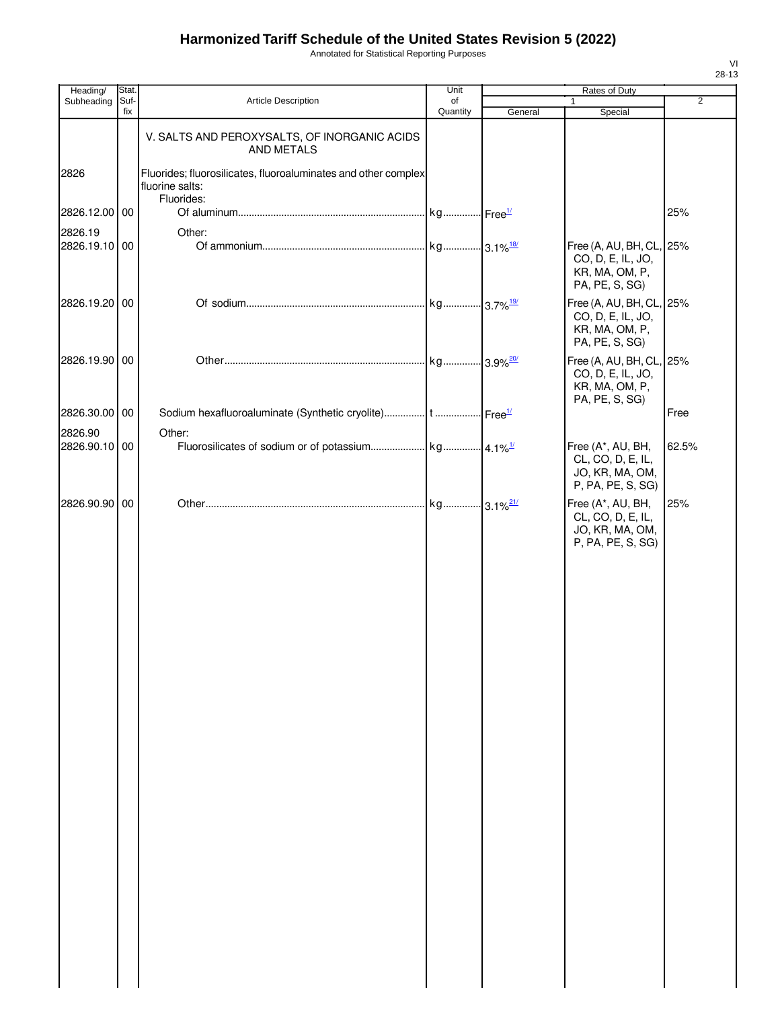Annotated for Statistical Reporting Purposes

| Heading/      | Stat.       |                                                                                                 | Unit           | Rates of Duty |                                                                                   | $\overline{2}$ |  |
|---------------|-------------|-------------------------------------------------------------------------------------------------|----------------|---------------|-----------------------------------------------------------------------------------|----------------|--|
| Subheading    | Suf-<br>fix | <b>Article Description</b>                                                                      | of<br>Quantity | General       | 1<br>Special                                                                      |                |  |
|               |             | V. SALTS AND PEROXYSALTS, OF INORGANIC ACIDS<br>AND METALS                                      |                |               |                                                                                   |                |  |
| 2826          |             | Fluorides; fluorosilicates, fluoroaluminates and other complex<br>fluorine salts:<br>Fluorides: |                |               |                                                                                   |                |  |
| 2826.12.00 00 |             |                                                                                                 |                |               |                                                                                   | 25%            |  |
| 2826.19       |             | Other:                                                                                          |                |               |                                                                                   |                |  |
| 2826.19.10 00 |             |                                                                                                 |                |               | Free (A, AU, BH, CL, 25%<br>CO, D, E, IL, JO,<br>KR, MA, OM, P,<br>PA, PE, S, SG) |                |  |
| 2826.19.20 00 |             |                                                                                                 |                |               | Free (A, AU, BH, CL, 25%<br>CO, D, E, IL, JO,<br>KR, MA, OM, P,<br>PA, PE, S, SG) |                |  |
| 2826.19.90 00 |             |                                                                                                 |                |               | Free (A, AU, BH, CL, 25%<br>CO, D, E, IL, JO,<br>KR, MA, OM, P,<br>PA, PE, S, SG) |                |  |
| 2826.30.00 00 |             |                                                                                                 |                |               |                                                                                   | Free           |  |
| 2826.90       |             | Other:                                                                                          |                |               |                                                                                   |                |  |
| 2826.90.10 00 |             |                                                                                                 |                |               | Free (A*, AU, BH,<br>CL, CO, D, E, IL,<br>JO, KR, MA, OM,<br>P, PA, PE, S, SG)    | 62.5%          |  |
| 2826.90.90 00 |             |                                                                                                 |                |               | Free (A*, AU, BH,<br>CL, CO, D, E, IL,<br>JO, KR, MA, OM,<br>P, PA, PE, S, SG)    | 25%            |  |
|               |             |                                                                                                 |                |               |                                                                                   |                |  |
|               |             |                                                                                                 |                |               |                                                                                   |                |  |
|               |             |                                                                                                 |                |               |                                                                                   |                |  |
|               |             |                                                                                                 |                |               |                                                                                   |                |  |
|               |             |                                                                                                 |                |               |                                                                                   |                |  |
|               |             |                                                                                                 |                |               |                                                                                   |                |  |
|               |             |                                                                                                 |                |               |                                                                                   |                |  |
|               |             |                                                                                                 |                |               |                                                                                   |                |  |
|               |             |                                                                                                 |                |               |                                                                                   |                |  |
|               |             |                                                                                                 |                |               |                                                                                   |                |  |
|               |             |                                                                                                 |                |               |                                                                                   |                |  |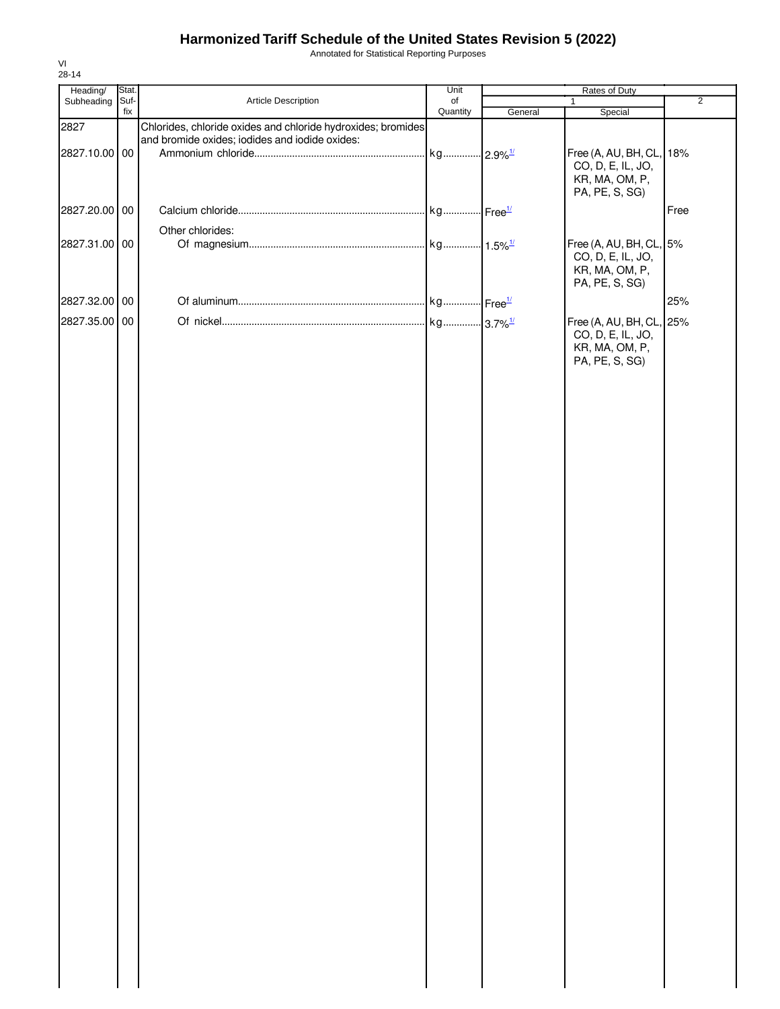Annotated for Statistical Reporting Purposes

| Heading/                       | Stat. |                                                                                                                | Unit                  | Rates of Duty |                                                                                   |                |  |
|--------------------------------|-------|----------------------------------------------------------------------------------------------------------------|-----------------------|---------------|-----------------------------------------------------------------------------------|----------------|--|
| Subheading                     | Suf-  | Article Description                                                                                            | of                    |               | $\mathbf{1}$                                                                      | $\overline{2}$ |  |
|                                | fix   |                                                                                                                | Quantity              | General       | Special                                                                           |                |  |
| 2827<br>2827.10.00 00          |       | Chlorides, chloride oxides and chloride hydroxides; bromides<br>and bromide oxides; iodides and iodide oxides: | kg 2.9% <sup>1/</sup> |               | Free (A, AU, BH, CL, 18%<br>CO, D, E, IL, JO,                                     |                |  |
| 2827.20.00 00                  |       |                                                                                                                |                       |               | KR, MA, OM, P,<br>PA, PE, S, SG)                                                  | Free           |  |
|                                |       |                                                                                                                |                       |               |                                                                                   |                |  |
| 2827.31.00 00                  |       | Other chlorides:                                                                                               |                       |               | Free (A, AU, BH, CL, 5%<br>CO, D, E, IL, JO,<br>KR, MA, OM, P,<br>PA, PE, S, SG)  |                |  |
|                                |       |                                                                                                                |                       |               |                                                                                   |                |  |
|                                |       |                                                                                                                |                       |               |                                                                                   |                |  |
| 2827.32.00 00<br>2827.35.00 00 |       |                                                                                                                |                       |               | Free (A, AU, BH, CL, 25%<br>CO, D, E, IL, JO,<br>KR, MA, OM, P,<br>PA, PE, S, SG) | 25%            |  |
|                                |       |                                                                                                                |                       |               |                                                                                   |                |  |
|                                |       |                                                                                                                |                       |               |                                                                                   |                |  |
|                                |       |                                                                                                                |                       |               |                                                                                   |                |  |
|                                |       |                                                                                                                |                       |               |                                                                                   |                |  |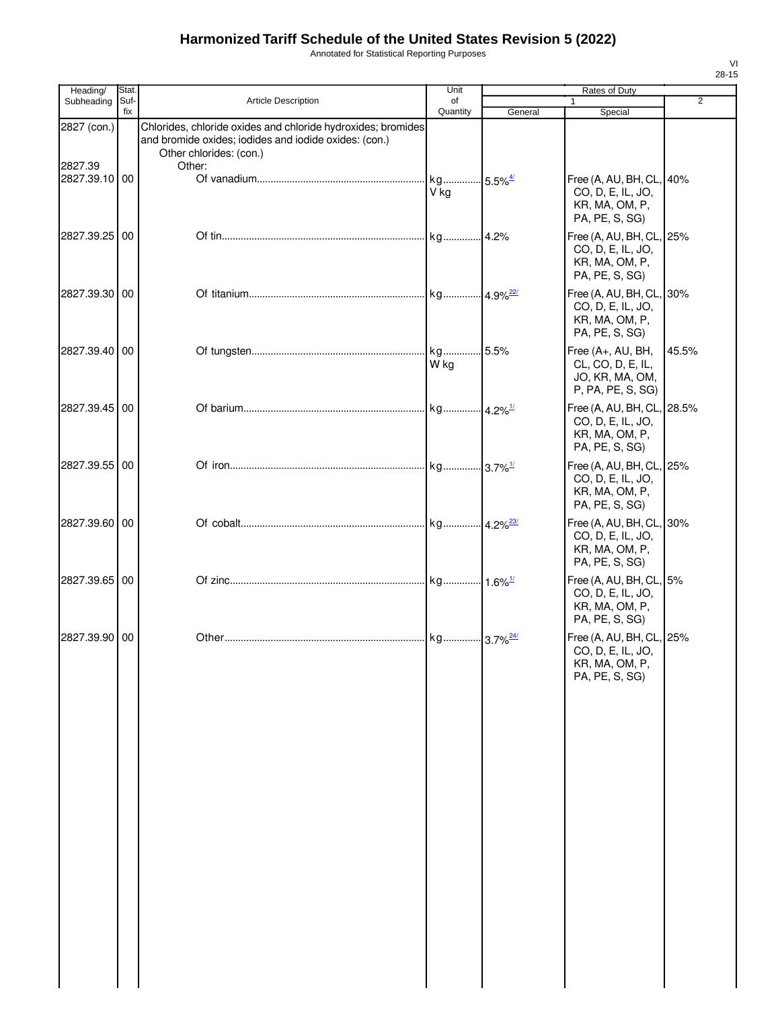Annotated for Statistical Reporting Purposes

| Heading/               | Stat.       |                                                                                                                                                            | Unit                          |         | Rates of Duty                                                                       |                |
|------------------------|-------------|------------------------------------------------------------------------------------------------------------------------------------------------------------|-------------------------------|---------|-------------------------------------------------------------------------------------|----------------|
| Subheading             | Suf-<br>fix | <b>Article Description</b>                                                                                                                                 | of<br>Quantity                | General | $\mathbf{1}$<br>Special                                                             | $\overline{2}$ |
| 2827 (con.)<br>2827.39 |             | Chlorides, chloride oxides and chloride hydroxides; bromides<br>and bromide oxides; iodides and iodide oxides: (con.)<br>Other chlorides: (con.)<br>Other: |                               |         |                                                                                     |                |
| 2827.39.10 00          |             |                                                                                                                                                            | kg 5.5% <sup>4/</sup><br>V kg |         | Free (A, AU, BH, CL, 40%<br>CO, D, E, IL, JO,<br>KR, MA, OM, P,<br>PA, PE, S, SG)   |                |
| 2827.39.25 00          |             |                                                                                                                                                            |                               |         | Free (A, AU, BH, CL, 25%<br>CO, D, E, IL, JO,<br>KR, MA, OM, P,<br>PA, PE, S, SG)   |                |
| 2827.39.30 00          |             |                                                                                                                                                            |                               |         | Free (A, AU, BH, CL, 30%<br>CO, D, E, IL, JO,<br>KR, MA, OM, P,<br>PA, PE, S, SG)   |                |
| 2827.39.40 00          |             |                                                                                                                                                            | W kg                          |         | Free (A+, AU, BH,<br>CL, CO, D, E, IL,<br>JO, KR, MA, OM,<br>P, PA, PE, S, SG)      | 45.5%          |
| 2827.39.45 00          |             |                                                                                                                                                            |                               |         | Free (A, AU, BH, CL, 28.5%<br>CO, D, E, IL, JO,<br>KR, MA, OM, P,<br>PA, PE, S, SG) |                |
| 2827.39.55 00          |             |                                                                                                                                                            |                               |         | Free (A, AU, BH, CL, 25%<br>CO, D, E, IL, JO,<br>KR, MA, OM, P,<br>PA, PE, S, SG)   |                |
| 2827.39.60 00          |             |                                                                                                                                                            |                               |         | Free (A, AU, BH, CL, 30%<br>CO, D, E, IL, JO,<br>KR, MA, OM, P,<br>PA, PE, S, SG)   |                |
| 2827.39.65 00          |             |                                                                                                                                                            |                               |         | Free (A, AU, BH, CL, 5%<br>CO, D, E, IL, JO,<br>KR, MA, OM, P,<br>PA, PE, S, SG)    |                |
| 2827.39.90 00          |             |                                                                                                                                                            |                               |         | Free (A, AU, BH, CL, 25%<br>CO, D, E, IL, JO,<br>KR, MA, OM, P,<br>PA, PE, S, SG)   |                |
|                        |             |                                                                                                                                                            |                               |         |                                                                                     |                |
|                        |             |                                                                                                                                                            |                               |         |                                                                                     |                |
|                        |             |                                                                                                                                                            |                               |         |                                                                                     |                |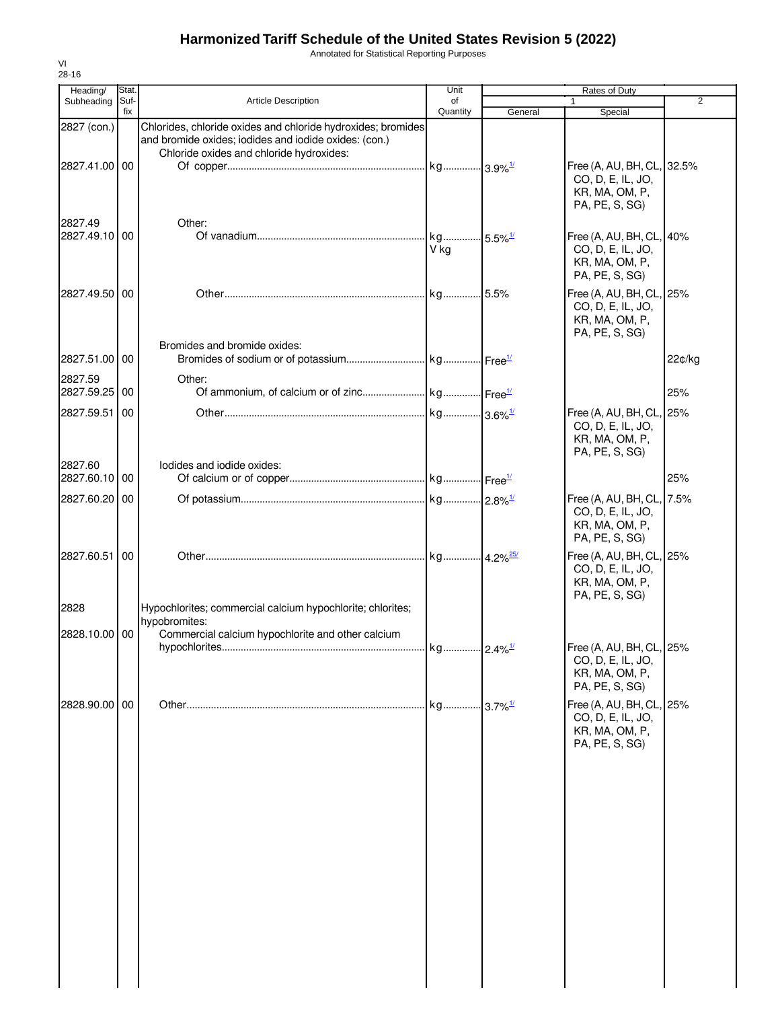Annotated for Statistical Reporting Purposes

| Heading/                 | Stat.       |                                                                                                                                                                   | Unit           |         | Rates of Duty                                                                       |                |
|--------------------------|-------------|-------------------------------------------------------------------------------------------------------------------------------------------------------------------|----------------|---------|-------------------------------------------------------------------------------------|----------------|
| Subheading               | Suf-<br>fix | <b>Article Description</b>                                                                                                                                        | of<br>Quantity | General | 1                                                                                   | $\overline{2}$ |
| 2827 (con.)              |             | Chlorides, chloride oxides and chloride hydroxides; bromides<br>and bromide oxides; iodides and iodide oxides: (con.)<br>Chloride oxides and chloride hydroxides: |                |         | Special                                                                             |                |
| 2827.41.00 00            |             |                                                                                                                                                                   |                |         | Free (A, AU, BH, CL, 32.5%<br>CO, D, E, IL, JO,<br>KR, MA, OM, P,<br>PA, PE, S, SG) |                |
| 2827.49<br>2827.49.10 00 |             | Other:                                                                                                                                                            | V kg           |         | Free (A, AU, BH, CL, 40%<br>CO, D, E, IL, JO,<br>KR, MA, OM, P,<br>PA, PE, S, SG)   |                |
| 2827.49.50 00            |             |                                                                                                                                                                   |                |         | Free (A, AU, BH, CL, 25%<br>CO, D, E, IL, JO,<br>KR, MA, OM, P,<br>PA, PE, S, SG)   |                |
| 2827.51.00 00            |             | Bromides and bromide oxides:                                                                                                                                      |                |         |                                                                                     | 22¢/kg         |
| 2827.59<br>2827.59.25 00 |             | Other:                                                                                                                                                            |                |         |                                                                                     | 25%            |
| 2827.59.51               | 00          |                                                                                                                                                                   |                |         | Free (A, AU, BH, CL, 25%                                                            |                |
| 2827.60                  |             | lodides and iodide oxides:                                                                                                                                        |                |         | CO, D, E, IL, JO,<br>KR, MA, OM, P,<br>PA, PE, S, SG)                               |                |
| 2827.60.10 00            |             |                                                                                                                                                                   |                |         |                                                                                     | 25%            |
| 2827.60.20 00            |             |                                                                                                                                                                   |                |         | Free (A, AU, BH, CL, 7.5%<br>CO, D, E, IL, JO,<br>KR, MA, OM, P,<br>PA, PE, S, SG)  |                |
| 2827.60.51               | 00          |                                                                                                                                                                   |                |         | Free (A, AU, BH, CL, 25%<br>CO, D, E, IL, JO,<br>KR, MA, OM, P,<br>PA, PE, S, SG)   |                |
| 2828                     |             | Hypochlorites; commercial calcium hypochlorite; chlorites;<br>hypobromites:                                                                                       |                |         |                                                                                     |                |
| 2828.10.00               | 00          | Commercial calcium hypochlorite and other calcium                                                                                                                 |                |         | Free (A, AU, BH, CL, 25%                                                            |                |
|                          |             |                                                                                                                                                                   |                |         | CO, D, E, IL, JO,<br>KR, MA, OM, P,<br>PA, PE, S, SG)                               |                |
| 2828.90.00 00            |             |                                                                                                                                                                   |                |         | Free (A, AU, BH, CL, 25%<br>CO, D, E, IL, JO,<br>KR, MA, OM, P,<br>PA, PE, S, SG)   |                |
|                          |             |                                                                                                                                                                   |                |         |                                                                                     |                |
|                          |             |                                                                                                                                                                   |                |         |                                                                                     |                |
|                          |             |                                                                                                                                                                   |                |         |                                                                                     |                |
|                          |             |                                                                                                                                                                   |                |         |                                                                                     |                |
|                          |             |                                                                                                                                                                   |                |         |                                                                                     |                |
|                          |             |                                                                                                                                                                   |                |         |                                                                                     |                |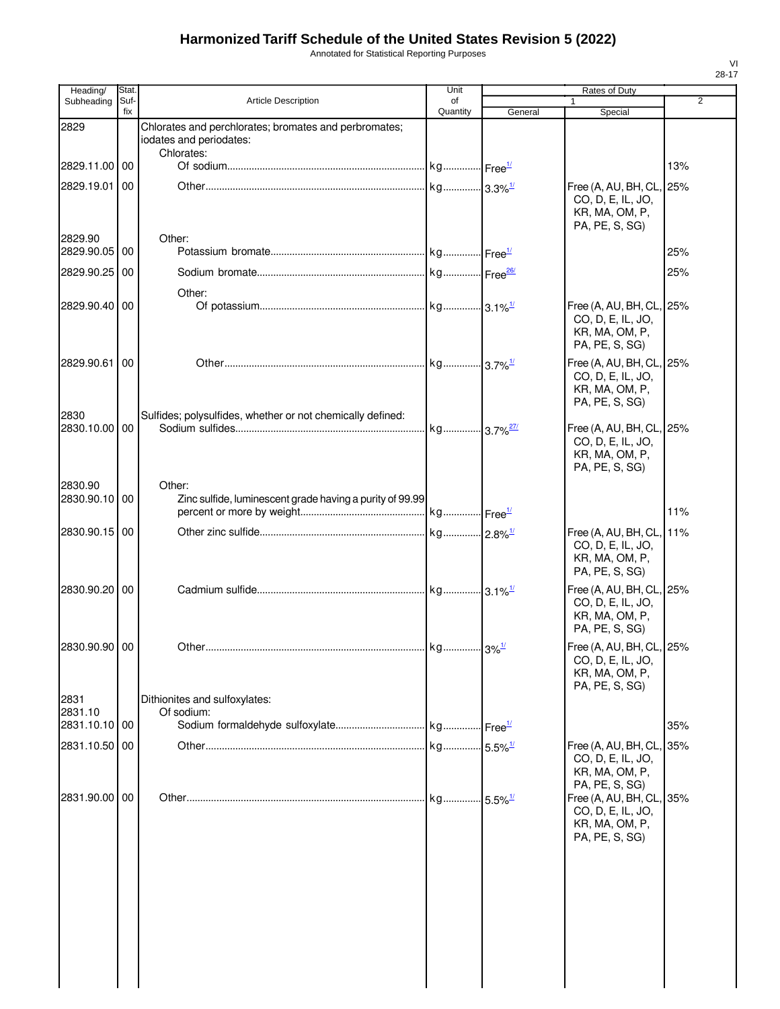Annotated for Statistical Reporting Purposes

| Heading/                 | Stat.       |                                                                                                | Unit           |                                           | Rates of Duty                                                                                   |                |
|--------------------------|-------------|------------------------------------------------------------------------------------------------|----------------|-------------------------------------------|-------------------------------------------------------------------------------------------------|----------------|
| Subheading               | Suf-<br>fix | <b>Article Description</b>                                                                     | of<br>Quantity | General                                   | Special                                                                                         | $\overline{2}$ |
| 2829                     |             | Chlorates and perchlorates; bromates and perbromates;<br>iodates and periodates:<br>Chlorates: |                |                                           |                                                                                                 |                |
| 2829.11.00 00            |             |                                                                                                |                |                                           |                                                                                                 | 13%            |
| 2829.19.01               | 00          |                                                                                                |                |                                           | Free (A, AU, BH, CL,<br>CO, D, E, IL, JO,<br>KR, MA, OM, P,<br>PA, PE, S, SG)                   | 25%            |
| 2829.90<br>2829.90.05    | 00          | Other:                                                                                         |                |                                           |                                                                                                 | 25%            |
| 2829.90.25               | 00          |                                                                                                |                |                                           |                                                                                                 | 25%            |
| 2829.90.40 00            |             | Other:                                                                                         |                |                                           | Free (A, AU, BH, CL, 25%<br>CO, D, E, IL, JO,<br>KR, MA, OM, P,<br>PA, PE, S, SG)               |                |
| 2829.90.61               | 00          |                                                                                                |                |                                           | Free (A, AU, BH, CL, 25%<br>CO, D, E, IL, JO,<br>KR, MA, OM, P,<br>PA, PE, S, SG)               |                |
| 2830<br>2830.10.00       | 00          | Sulfides; polysulfides, whether or not chemically defined:                                     |                |                                           | Free (A, AU, BH, CL, 25%<br>CO, D, E, IL, JO,<br>KR, MA, OM, P,<br>PA, PE, S, SG)               |                |
| 2830.90<br>2830.90.10 00 |             | Other:<br>Zinc sulfide, luminescent grade having a purity of 99.99                             |                |                                           |                                                                                                 |                |
|                          |             |                                                                                                |                |                                           |                                                                                                 | 11%            |
| 2830.90.15 00            |             |                                                                                                |                |                                           | Free (A, AU, BH, CL,<br>CO, D, E, IL, JO,<br>KR, MA, OM, P,<br>PA, PE, S, SG)                   | 11%            |
| 2830.90.20 00            |             |                                                                                                |                |                                           | Free (A, AU, BH, CL, 25%<br>CO, D, E, IL, JO,<br>KR, MA, OM, P,<br>PA, PE, S, SG)               |                |
| 2830.90.90 00            |             | Other                                                                                          | kg             | $3\%$ <sup><math>\frac{1}{2}</math></sup> | Free (A, AU, BH, CL, 25%<br>CO, D, E, IL, JO,<br>KR, MA, OM, P,<br>PA, PE, S, SG)               |                |
| 2831<br>2831.10          |             | Dithionites and sulfoxylates:<br>Of sodium:                                                    |                |                                           |                                                                                                 |                |
| 2831.10.10 00            |             |                                                                                                |                |                                           |                                                                                                 | 35%            |
| 2831.10.50               | 00          |                                                                                                |                |                                           | Free (A, AU, BH, CL,<br>CO, D, E, IL, JO,<br>KR, MA, OM, P,                                     | 35%            |
| 2831.90.00               | 00          |                                                                                                |                |                                           | PA, PE, S, SG)<br>Free (A, AU, BH, CL,<br>CO, D, E, IL, JO,<br>KR, MA, OM, P,<br>PA, PE, S, SG) | 35%            |
|                          |             |                                                                                                |                |                                           |                                                                                                 |                |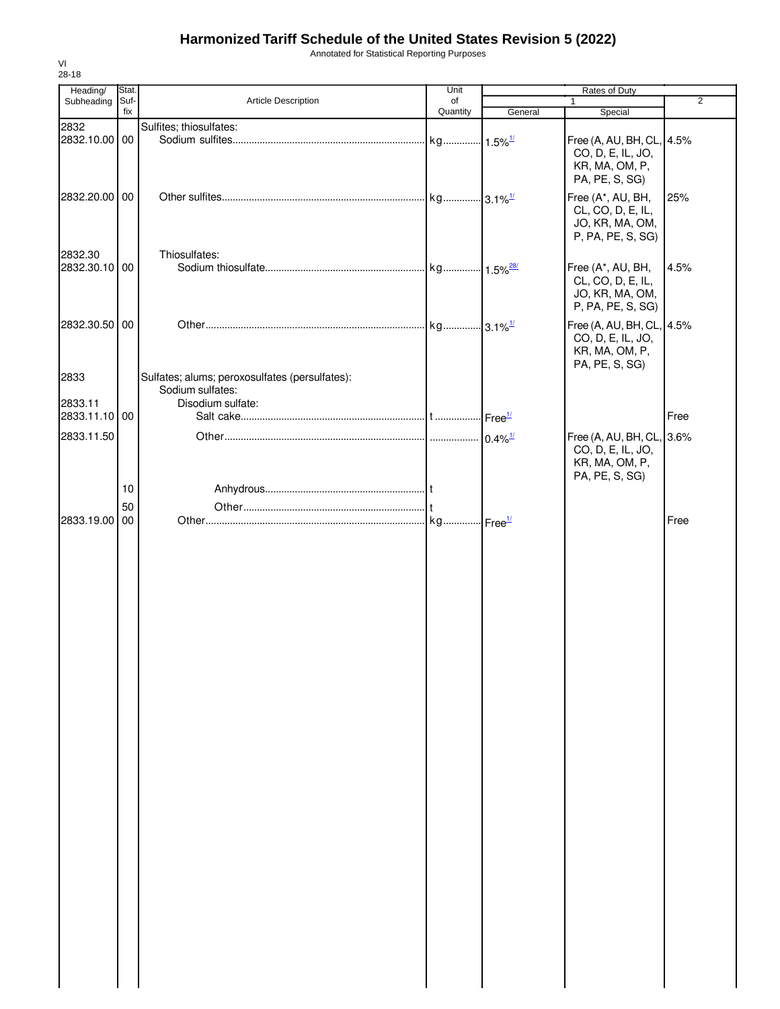Annotated for Statistical Reporting Purposes

| Heading/      | Stat. |                                                | Unit     |                    | Rates of Duty             |                |
|---------------|-------|------------------------------------------------|----------|--------------------|---------------------------|----------------|
| Subheading    | Suf-  | Article Description                            | of       |                    | 1                         | $\overline{2}$ |
|               | fix   |                                                | Quantity | General            | Special                   |                |
| 2832          |       | Sulfites; thiosulfates:                        |          |                    |                           |                |
| 2832.10.00 00 |       |                                                |          |                    | Free (A, AU, BH, CL, 4.5% |                |
|               |       |                                                |          |                    | CO, D, E, IL, JO,         |                |
|               |       |                                                |          |                    | KR, MA, OM, P,            |                |
|               |       |                                                |          |                    | PA, PE, S, SG)            |                |
| 2832.20.00 00 |       |                                                |          |                    | Free (A*, AU, BH,         | 25%            |
|               |       |                                                |          |                    | CL, CO, D, E, IL,         |                |
|               |       |                                                |          |                    | JO, KR, MA, OM,           |                |
|               |       |                                                |          |                    | P, PA, PE, S, SG)         |                |
|               |       |                                                |          |                    |                           |                |
| 2832.30       |       | Thiosulfates:                                  |          |                    |                           |                |
| 2832.30.10 00 |       |                                                |          |                    | Free (A*, AU, BH,         | 4.5%           |
|               |       |                                                |          |                    | CL, CO, D, E, IL,         |                |
|               |       |                                                |          |                    | JO, KR, MA, OM,           |                |
|               |       |                                                |          |                    | P, PA, PE, S, SG)         |                |
| 2832.30.50 00 |       |                                                |          |                    |                           |                |
|               |       |                                                |          |                    | Free (A, AU, BH, CL, 4.5% |                |
|               |       |                                                |          |                    | CO, D, E, IL, JO,         |                |
|               |       |                                                |          |                    | KR, MA, OM, P,            |                |
|               |       |                                                |          |                    | PA, PE, S, SG)            |                |
| 2833          |       | Sulfates; alums; peroxosulfates (persulfates): |          |                    |                           |                |
|               |       | Sodium sulfates:                               |          |                    |                           |                |
| 2833.11       |       | Disodium sulfate:                              |          |                    |                           |                |
| 2833.11.10 00 |       |                                                |          | Free <sup>1/</sup> |                           | Free           |
| 2833.11.50    |       |                                                |          |                    |                           |                |
|               |       |                                                |          |                    | Free (A, AU, BH, CL, 3.6% |                |
|               |       |                                                |          |                    | CO, D, E, IL, JO,         |                |
|               |       |                                                |          |                    | KR, MA, OM, P,            |                |
|               |       |                                                |          |                    | PA, PE, S, SG)            |                |
|               | 10    |                                                |          |                    |                           |                |
|               | 50    |                                                |          |                    |                           |                |
| 2833.19.00 00 |       |                                                |          |                    |                           | Free           |
|               |       |                                                |          |                    |                           |                |
|               |       |                                                |          |                    |                           |                |
|               |       |                                                |          |                    |                           |                |
|               |       |                                                |          |                    |                           |                |
|               |       |                                                |          |                    |                           |                |
|               |       |                                                |          |                    |                           |                |
|               |       |                                                |          |                    |                           |                |
|               |       |                                                |          |                    |                           |                |
|               |       |                                                |          |                    |                           |                |
|               |       |                                                |          |                    |                           |                |
|               |       |                                                |          |                    |                           |                |
|               |       |                                                |          |                    |                           |                |
|               |       |                                                |          |                    |                           |                |
|               |       |                                                |          |                    |                           |                |
|               |       |                                                |          |                    |                           |                |
|               |       |                                                |          |                    |                           |                |
|               |       |                                                |          |                    |                           |                |
|               |       |                                                |          |                    |                           |                |
|               |       |                                                |          |                    |                           |                |
|               |       |                                                |          |                    |                           |                |
|               |       |                                                |          |                    |                           |                |
|               |       |                                                |          |                    |                           |                |
|               |       |                                                |          |                    |                           |                |
|               |       |                                                |          |                    |                           |                |
|               |       |                                                |          |                    |                           |                |
|               |       |                                                |          |                    |                           |                |
|               |       |                                                |          |                    |                           |                |
|               |       |                                                |          |                    |                           |                |
|               |       |                                                |          |                    |                           |                |
|               |       |                                                |          |                    |                           |                |
|               |       |                                                |          |                    |                           |                |
|               |       |                                                |          |                    |                           |                |
|               |       |                                                |          |                    |                           |                |
|               |       |                                                |          |                    |                           |                |
|               |       |                                                |          |                    |                           |                |
|               |       |                                                |          |                    |                           |                |
|               |       |                                                |          |                    |                           |                |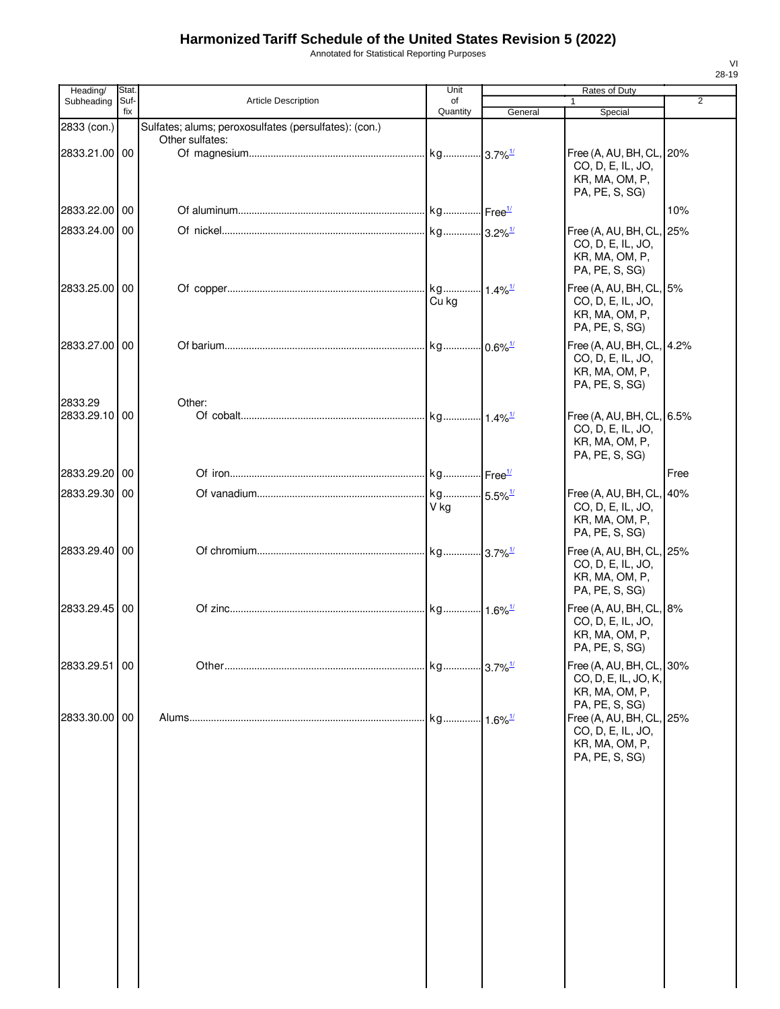| Annotated for Statistical Reporting Purposes |  |
|----------------------------------------------|--|
|----------------------------------------------|--|

| Heading/      | <b>Stat</b> |                                                       | Unit                           |         | Rates of Duty                                                                        |                |
|---------------|-------------|-------------------------------------------------------|--------------------------------|---------|--------------------------------------------------------------------------------------|----------------|
| Subheading    | Suf-<br>fix | Article Description                                   | οf<br>Quantity                 |         | 1                                                                                    | $\overline{2}$ |
| 2833 (con.)   |             | Sulfates; alums; peroxosulfates (persulfates): (con.) |                                | General | Special                                                                              |                |
|               |             | Other sulfates:                                       |                                |         |                                                                                      |                |
| 2833.21.00 00 |             |                                                       |                                |         | Free (A, AU, BH, CL, 20%<br>CO, D, E, IL, JO,<br>KR, MA, OM, P,<br>PA, PE, S, SG)    |                |
| 2833.22.00 00 |             |                                                       |                                |         |                                                                                      | 10%            |
| 2833.24.00 00 |             |                                                       |                                |         | Free (A, AU, BH, CL, 25%<br>CO, D, E, IL, JO,<br>KR, MA, OM, P,<br>PA, PE, S, SG)    |                |
| 2833.25.00 00 |             |                                                       | kg 1.4% <sup>1/</sup><br>Cu ka |         | Free (A, AU, BH, CL, 5%<br>CO, D, E, IL, JO,<br>KR, MA, OM, P,<br>PA, PE, S, SG)     |                |
| 2833.27.00 00 |             |                                                       |                                |         | Free (A, AU, BH, CL, 4.2%<br>CO, D, E, IL, JO,<br>KR, MA, OM, P,<br>PA, PE, S, SG)   |                |
| 2833.29       |             | Other:                                                |                                |         |                                                                                      |                |
| 2833.29.10 00 |             |                                                       |                                |         | Free (A, AU, BH, CL, 6.5%<br>CO, D, E, IL, JO,<br>KR, MA, OM, P,<br>PA, PE, S, SG)   |                |
| 2833.29.20 00 |             |                                                       |                                |         |                                                                                      | Free           |
| 2833.29.30 00 |             |                                                       | V kg                           |         | Free (A, AU, BH, CL, 40%<br>CO, D, E, IL, JO,<br>KR, MA, OM, P,<br>PA, PE, S, SG)    |                |
| 2833.29.40 00 |             |                                                       |                                |         | Free (A, AU, BH, CL, 25%<br>CO, D, E, IL, JO,<br>KR, MA, OM, P,<br>PA, PE, S, SG)    |                |
| 2833.29.45 00 |             |                                                       |                                |         | Free (A, AU, BH, CL, 8%<br>CO, D, E, IL, JO,<br>KR, MA, OM, P,<br>PA, PE, S, SG)     |                |
| 2833.29.51 00 |             |                                                       |                                |         | Free (A, AU, BH, CL, 30%<br>CO, D, E, IL, JO, K,<br>KR, MA, OM, P,<br>PA, PE, S, SG) |                |
| 2833.30.00 00 |             |                                                       |                                |         | Free (A, AU, BH, CL, 25%<br>CO, D, E, IL, JO,<br>KR, MA, OM, P,<br>PA, PE, S, SG)    |                |
|               |             |                                                       |                                |         |                                                                                      |                |
|               |             |                                                       |                                |         |                                                                                      |                |
|               |             |                                                       |                                |         |                                                                                      |                |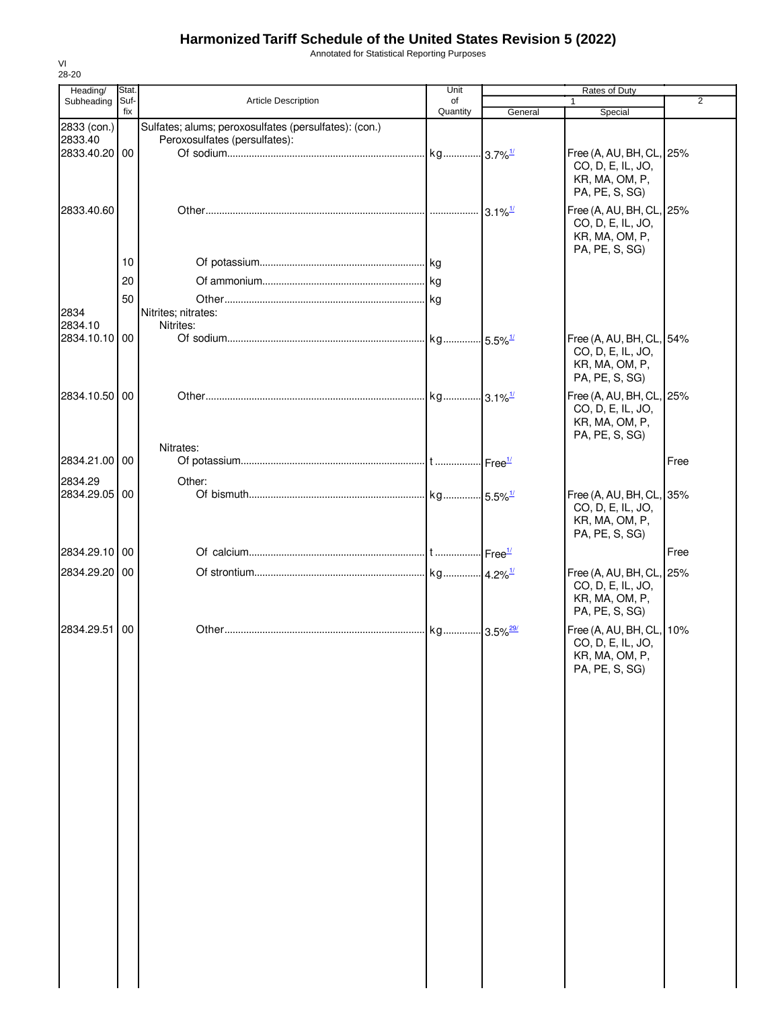Annotated for Statistical Reporting Purposes

| 28-20                                |               |                                                                                        |            |                       |                                                                                   |                |
|--------------------------------------|---------------|----------------------------------------------------------------------------------------|------------|-----------------------|-----------------------------------------------------------------------------------|----------------|
| Heading/<br>Subheading               | Stat.<br>Suf- | Article Description                                                                    | Unit<br>of |                       | Rates of Duty<br>1                                                                | $\overline{2}$ |
|                                      | fix           |                                                                                        | Quantity   | General               | Special                                                                           |                |
| 2833 (con.)<br>2833.40<br>2833.40.20 | 00            | Sulfates; alums; peroxosulfates (persulfates): (con.)<br>Peroxosulfates (persulfates): |            | $3.7\%$ <sup>1/</sup> | Free (A, AU, BH, CL, 25%                                                          |                |
|                                      |               |                                                                                        |            |                       | CO, D, E, IL, JO,<br>KR, MA, OM, P,<br>PA, PE, S, SG)                             |                |
| 2833.40.60                           |               |                                                                                        |            | $3.1\%$ <sup>1/</sup> | Free (A, AU, BH, CL, 25%<br>CO, D, E, IL, JO,<br>KR, MA, OM, P,<br>PA, PE, S, SG) |                |
|                                      | 10            |                                                                                        |            |                       |                                                                                   |                |
|                                      | 20            |                                                                                        |            |                       |                                                                                   |                |
|                                      | 50            |                                                                                        |            |                       |                                                                                   |                |
| 2834                                 |               | Nitrites; nitrates:                                                                    |            |                       |                                                                                   |                |
| 2834.10<br>2834.10.10 00             |               | Nitrites:                                                                              |            |                       | Free (A, AU, BH, CL, 54%                                                          |                |
|                                      |               |                                                                                        |            |                       | CO, D, E, IL, JO,<br>KR, MA, OM, P,<br>PA, PE, S, SG)                             |                |
| 2834.10.50 00                        |               |                                                                                        |            |                       | Free (A, AU, BH, CL, 25%<br>CO, D, E, IL, JO,<br>KR, MA, OM, P,                   |                |
|                                      |               | Nitrates:                                                                              |            |                       | PA, PE, S, SG)                                                                    |                |
| 2834.21.00 00                        |               |                                                                                        |            |                       |                                                                                   | Free           |
| 2834.29                              |               | Other:                                                                                 |            |                       |                                                                                   |                |
| 2834.29.05 00                        |               |                                                                                        |            |                       | Free (A, AU, BH, CL, 35%<br>CO, D, E, IL, JO,<br>KR, MA, OM, P,<br>PA, PE, S, SG) |                |
| 2834.29.10                           | 00            |                                                                                        |            |                       |                                                                                   | Free           |
| 2834.29.20 00                        |               |                                                                                        |            |                       | Free (A, AU, BH, CL, 25%                                                          |                |
|                                      |               |                                                                                        |            |                       | CO, D, E, IL, JO,<br>KR, MA, OM, P,<br>PA, PE, S, SG)                             |                |
| 2834.29.51                           | 00            |                                                                                        |            |                       | Free (A, AU, BH, CL, 10%<br>CO, D, E, IL, JO,<br>KR, MA, OM, P,<br>PA, PE, S, SG) |                |
|                                      |               |                                                                                        |            |                       |                                                                                   |                |
|                                      |               |                                                                                        |            |                       |                                                                                   |                |
|                                      |               |                                                                                        |            |                       |                                                                                   |                |
|                                      |               |                                                                                        |            |                       |                                                                                   |                |
|                                      |               |                                                                                        |            |                       |                                                                                   |                |
|                                      |               |                                                                                        |            |                       |                                                                                   |                |
|                                      |               |                                                                                        |            |                       |                                                                                   |                |

VI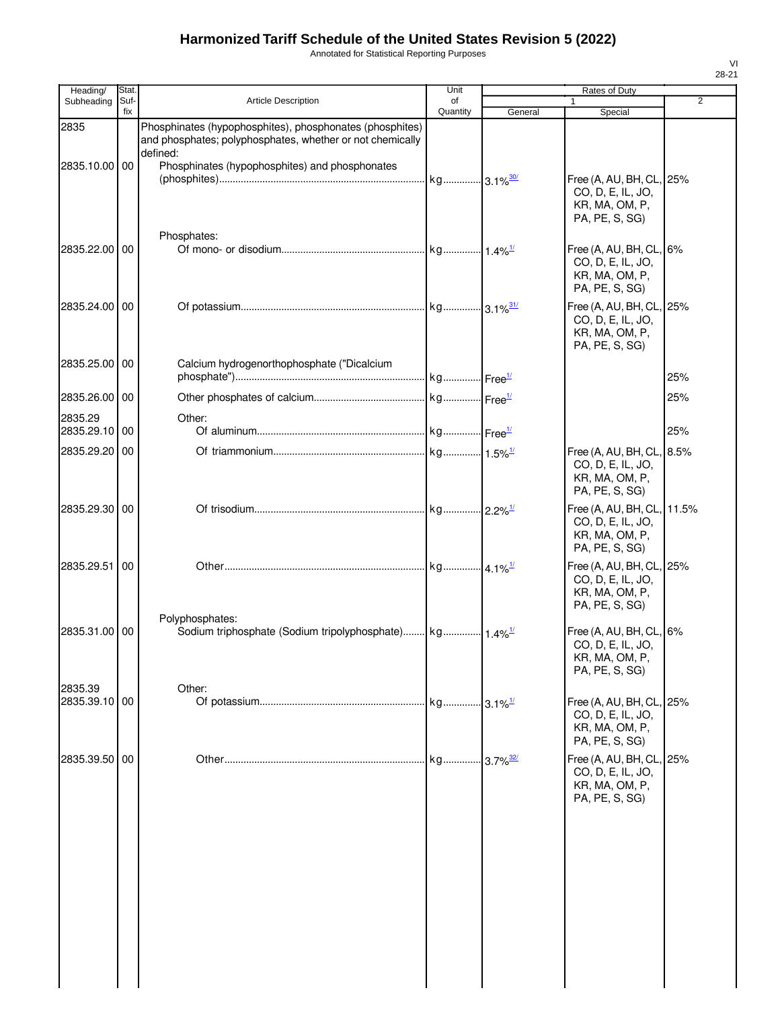Annotated for Statistical Reporting Purposes

| Heading/                 | Stat.       |                                                                                                                                   | Unit           |                         | Rates of Duty                                                                      |       |
|--------------------------|-------------|-----------------------------------------------------------------------------------------------------------------------------------|----------------|-------------------------|------------------------------------------------------------------------------------|-------|
| Subheading               | Suf-<br>fix | <b>Article Description</b>                                                                                                        | οf<br>Quantity | General                 | 1<br>Special                                                                       | 2     |
| 2835                     |             | Phosphinates (hypophosphites), phosphonates (phosphites)<br>and phosphates; polyphosphates, whether or not chemically<br>defined: |                |                         |                                                                                    |       |
| 2835.10.00 00            |             | Phosphinates (hypophosphites) and phosphonates                                                                                    |                |                         | Free (A, AU, BH, CL, 25%<br>CO, D, E, IL, JO,<br>KR, MA, OM, P,<br>PA, PE, S, SG)  |       |
| 2835.22.00 00            |             | Phosphates:                                                                                                                       |                |                         | Free $(A, AU, BH, CL, 6%$<br>CO, D, E, IL, JO,<br>KR, MA, OM, P,<br>PA, PE, S, SG) |       |
| 2835.24.00 00            |             |                                                                                                                                   |                |                         | Free (A, AU, BH, CL, 25%<br>CO, D, E, IL, JO,<br>KR, MA, OM, P,<br>PA, PE, S, SG)  |       |
| 2835.25.00 00            |             | Calcium hydrogenorthophosphate ("Dicalcium                                                                                        |                |                         |                                                                                    | 25%   |
| 2835.26.00 00            |             |                                                                                                                                   |                |                         |                                                                                    | 25%   |
| 2835.29<br>2835.29.10 00 |             | Other:                                                                                                                            |                |                         |                                                                                    | 25%   |
| 2835.29.20               | 00          |                                                                                                                                   |                |                         | Free (A, AU, BH, CL, 8.5%<br>CO, D, E, IL, JO,<br>KR, MA, OM, P,<br>PA, PE, S, SG) |       |
| 2835.29.30 00            |             |                                                                                                                                   |                |                         | Free (A, AU, BH, CL,<br>CO, D, E, IL, JO,<br>KR, MA, OM, P,<br>PA, PE, S, SG)      | 11.5% |
| 2835.29.51               | 00          |                                                                                                                                   |                |                         | Free (A, AU, BH, CL, 25%<br>CO, D, E, IL, JO,<br>KR, MA, OM, P,<br>PA, PE, S, SG)  |       |
| 2835.31.00 00            |             | Polyphosphates:                                                                                                                   |                |                         | Free (A, AU, BH, CL, 6%<br>CO, D, E, IL, JO,<br>KR, MA, OM, P,<br>PA, PE, S, SG)   |       |
| 2835.39<br>2835.39.10 00 |             | Other:                                                                                                                            |                |                         | Free (A, AU, BH, CL, 25%<br>CO, D, E, IL, JO,<br>KR, MA, OM, P,<br>PA, PE, S, SG)  |       |
| 2835.39.50 00            |             |                                                                                                                                   | . kg           | $-3.7\%$ <sup>32/</sup> | Free (A, AU, BH, CL, 25%<br>CO, D, E, IL, JO,<br>KR, MA, OM, P,<br>PA, PE, S, SG)  |       |
|                          |             |                                                                                                                                   |                |                         |                                                                                    |       |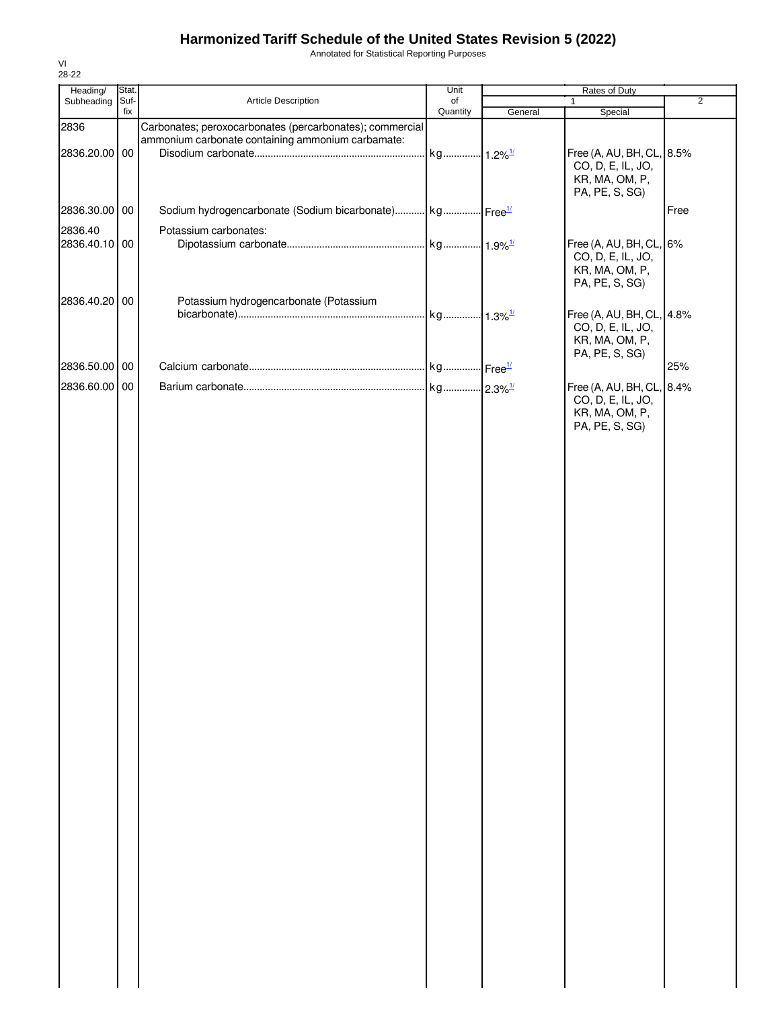Annotated for Statistical Reporting Purposes

| Heading/      | Stat.       |                                                                     | Unit                  |         | Rates of Duty                                                                      |                |
|---------------|-------------|---------------------------------------------------------------------|-----------------------|---------|------------------------------------------------------------------------------------|----------------|
| Subheading    | Suf-<br>fix | Article Description                                                 | of<br>Quantity        |         | $\mathbf{1}$                                                                       | $\overline{2}$ |
| 2836          |             | Carbonates; peroxocarbonates (percarbonates); commercial            |                       | General | Special                                                                            |                |
| 2836.20.00 00 |             | ammonium carbonate containing ammonium carbamate:                   | kg 1.2% <sup>1/</sup> |         | Free (A, AU, BH, CL, 8.5%<br>CO, D, E, IL, JO,<br>KR, MA, OM, P,<br>PA, PE, S, SG) |                |
| 2836.30.00 00 |             | Sodium hydrogencarbonate (Sodium bicarbonate) kg Free <sup>1/</sup> |                       |         |                                                                                    | Free           |
| 2836.40       |             | Potassium carbonates:                                               |                       |         |                                                                                    |                |
| 2836.40.10 00 |             |                                                                     |                       |         | Free (A, AU, BH, CL, 6%<br>CO, D, E, IL, JO,<br>KR, MA, OM, P,<br>PA, PE, S, SG)   |                |
| 2836.40.20 00 |             | Potassium hydrogencarbonate (Potassium                              |                       |         |                                                                                    |                |
|               |             |                                                                     |                       |         | Free (A, AU, BH, CL, 4.8%<br>CO, D, E, IL, JO,<br>KR, MA, OM, P,<br>PA, PE, S, SG) |                |
| 2836.50.00 00 |             |                                                                     |                       |         |                                                                                    | 25%            |
| 2836.60.00 00 |             |                                                                     |                       |         | Free (A, AU, BH, CL, 8.4%<br>CO, D, E, IL, JO,<br>KR, MA, OM, P,<br>PA, PE, S, SG) |                |
|               |             |                                                                     |                       |         |                                                                                    |                |
|               |             |                                                                     |                       |         |                                                                                    |                |
|               |             |                                                                     |                       |         |                                                                                    |                |
|               |             |                                                                     |                       |         |                                                                                    |                |
|               |             |                                                                     |                       |         |                                                                                    |                |
|               |             |                                                                     |                       |         |                                                                                    |                |
|               |             |                                                                     |                       |         |                                                                                    |                |
|               |             |                                                                     |                       |         |                                                                                    |                |
|               |             |                                                                     |                       |         |                                                                                    |                |
|               |             |                                                                     |                       |         |                                                                                    |                |
|               |             |                                                                     |                       |         |                                                                                    |                |
|               |             |                                                                     |                       |         |                                                                                    |                |
|               |             |                                                                     |                       |         |                                                                                    |                |
|               |             |                                                                     |                       |         |                                                                                    |                |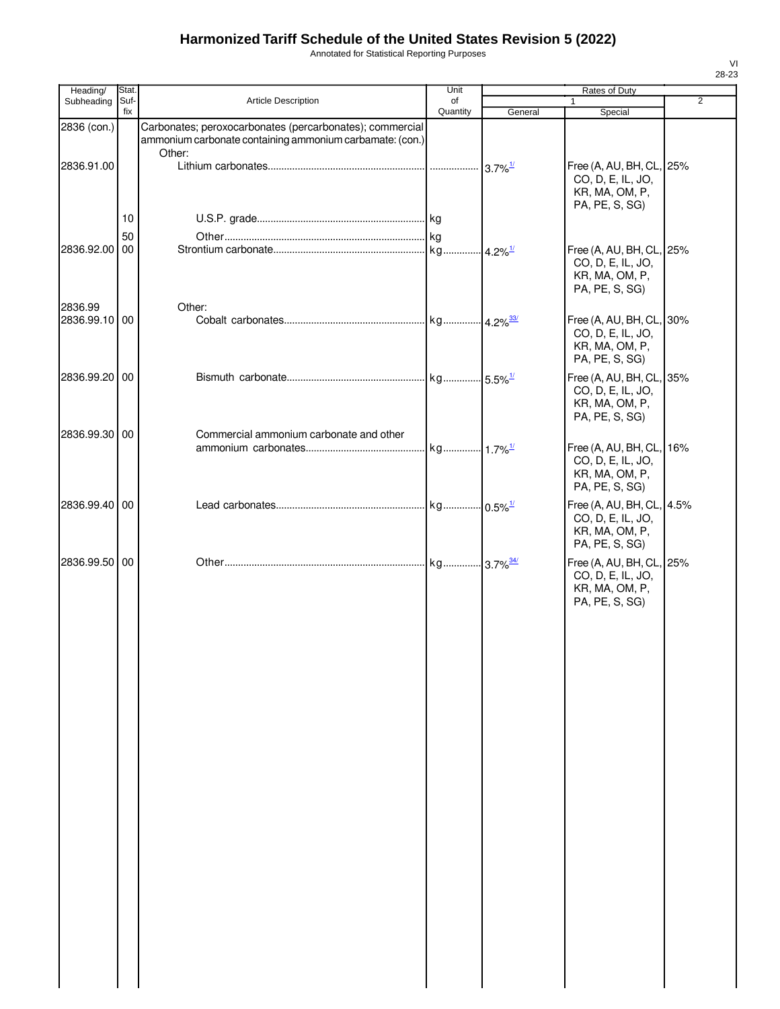Annotated for Statistical Reporting Purposes

| Heading/      | Stat.       |                                                                                                                                | Unit           |                        | Rates of Duty                                                                      |                |
|---------------|-------------|--------------------------------------------------------------------------------------------------------------------------------|----------------|------------------------|------------------------------------------------------------------------------------|----------------|
| Subheading    | Suf-<br>fix | <b>Article Description</b>                                                                                                     | of<br>Quantity | General                | 1<br>Special                                                                       | $\overline{2}$ |
| 2836 (con.)   |             | Carbonates; peroxocarbonates (percarbonates); commercial<br>ammonium carbonate containing ammonium carbamate: (con.)<br>Other: |                |                        |                                                                                    |                |
| 2836.91.00    |             |                                                                                                                                | .              | $3.7\%$ <sup>1/</sup>  | Free (A, AU, BH, CL, 25%<br>CO, D, E, IL, JO,<br>KR, MA, OM, P,<br>PA, PE, S, SG)  |                |
|               | 10<br>50    |                                                                                                                                |                |                        |                                                                                    |                |
| 2836.92.00 00 |             |                                                                                                                                | kg             | $4.2\%$ <sup>1/</sup>  | Free (A, AU, BH, CL, 25%<br>CO, D, E, IL, JO,<br>KR, MA, OM, P,<br>PA, PE, S, SG)  |                |
| 2836.99       |             | Other:                                                                                                                         |                |                        |                                                                                    |                |
| 2836.99.10 00 |             |                                                                                                                                |                | $4.2\%$ <sup>33/</sup> | Free (A, AU, BH, CL, 30%<br>CO, D, E, IL, JO,<br>KR, MA, OM, P,<br>PA, PE, S, SG)  |                |
| 2836.99.20 00 |             |                                                                                                                                |                |                        | Free (A, AU, BH, CL, 35%<br>CO, D, E, IL, JO,<br>KR, MA, OM, P,<br>PA, PE, S, SG)  |                |
| 2836.99.30 00 |             | Commercial ammonium carbonate and other                                                                                        |                |                        |                                                                                    |                |
|               |             |                                                                                                                                |                |                        | Free (A, AU, BH, CL, 16%<br>CO, D, E, IL, JO,<br>KR, MA, OM, P,<br>PA, PE, S, SG)  |                |
| 2836.99.40 00 |             |                                                                                                                                |                | $-0.5\%$ <sup>1/</sup> | Free (A, AU, BH, CL, 4.5%<br>CO, D, E, IL, JO,<br>KR, MA, OM, P,<br>PA, PE, S, SG) |                |
| 2836.99.50 00 |             |                                                                                                                                |                |                        | Free (A, AU, BH, CL, 25%<br>CO, D, E, IL, JO,<br>KR, MA, OM, P,<br>PA, PE, S, SG)  |                |
|               |             |                                                                                                                                |                |                        |                                                                                    |                |
|               |             |                                                                                                                                |                |                        |                                                                                    |                |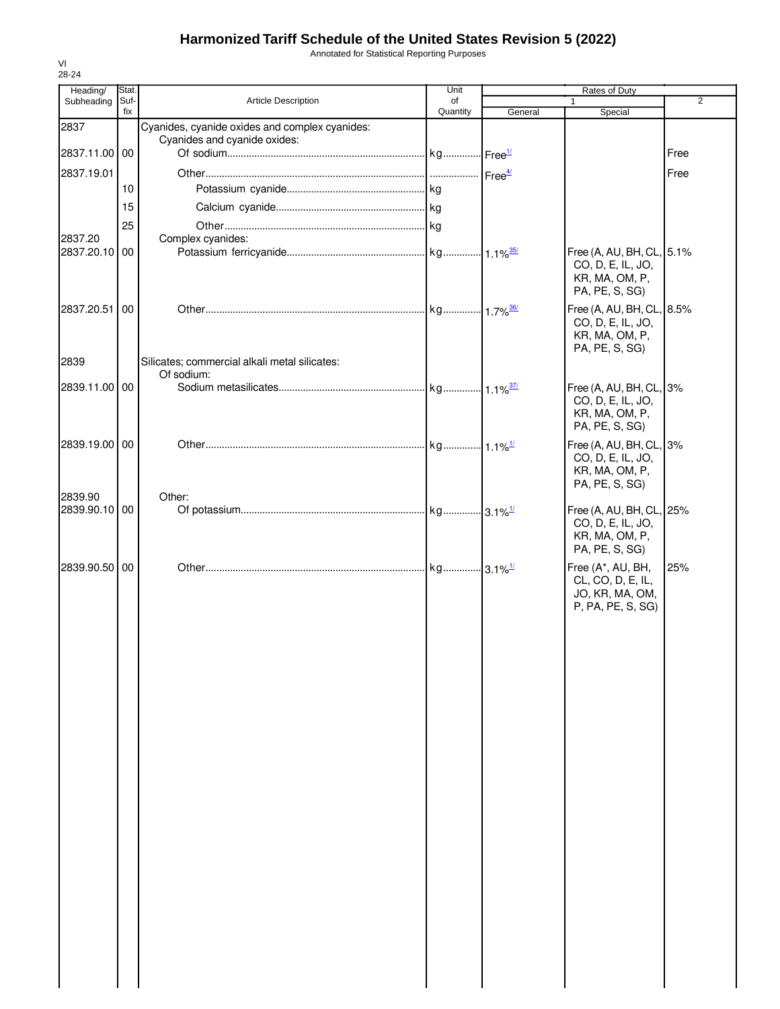Annotated for Statistical Reporting Purposes

| Heading/                 | Stat.       |                                                | Unit           |                    | Rates of Duty                                                                      |                |
|--------------------------|-------------|------------------------------------------------|----------------|--------------------|------------------------------------------------------------------------------------|----------------|
| Subheading               | Suf-<br>fix | Article Description                            | of<br>Quantity | General            | Special                                                                            | $\overline{2}$ |
| 2837                     |             | Cyanides, cyanide oxides and complex cyanides: |                |                    |                                                                                    |                |
|                          |             | Cyanides and cyanide oxides:                   |                |                    |                                                                                    |                |
| 2837.11.00 00            |             |                                                |                |                    |                                                                                    | Free           |
| 2837.19.01               |             |                                                |                | Free <sup>4/</sup> |                                                                                    | Free           |
|                          | 10          |                                                |                |                    |                                                                                    |                |
|                          | 15          |                                                |                |                    |                                                                                    |                |
|                          | 25          |                                                |                |                    |                                                                                    |                |
| 2837.20                  |             | Complex cyanides:                              |                |                    |                                                                                    |                |
| 2837.20.10               | 00          |                                                |                |                    | Free (A, AU, BH, CL, 5.1%<br>CO, D, E, IL, JO,<br>KR, MA, OM, P,<br>PA, PE, S, SG) |                |
| 2837.20.51               | 00          |                                                |                |                    | Free (A, AU, BH, CL, 8.5%<br>CO, D, E, IL, JO,<br>KR, MA, OM, P,<br>PA, PE, S, SG) |                |
| 2839                     |             | Silicates; commercial alkali metal silicates:  |                |                    |                                                                                    |                |
| 2839.11.00 00            |             | Of sodium:                                     |                |                    | Free (A, AU, BH, CL, 3%                                                            |                |
|                          |             |                                                |                |                    | CO, D, E, IL, JO,<br>KR, MA, OM, P,<br>PA, PE, S, SG)                              |                |
| 2839.19.00               | 00          |                                                |                |                    | Free (A, AU, BH, CL, 3%<br>CO, D, E, IL, JO,<br>KR, MA, OM, P,<br>PA, PE, S, SG)   |                |
| 2839.90<br>2839.90.10 00 |             | Other:                                         |                |                    | Free (A, AU, BH, CL, 25%<br>CO, D, E, IL, JO,<br>KR, MA, OM, P,<br>PA, PE, S, SG)  |                |
| 2839.90.50               | 00          |                                                |                |                    | Free (A*, AU, BH,<br>CL, CO, D, E, IL,<br>JO, KR, MA, OM,<br>P, PA, PE, S, SG)     | 25%            |
|                          |             |                                                |                |                    |                                                                                    |                |
|                          |             |                                                |                |                    |                                                                                    |                |
|                          |             |                                                |                |                    |                                                                                    |                |
|                          |             |                                                |                |                    |                                                                                    |                |
|                          |             |                                                |                |                    |                                                                                    |                |
|                          |             |                                                |                |                    |                                                                                    |                |
|                          |             |                                                |                |                    |                                                                                    |                |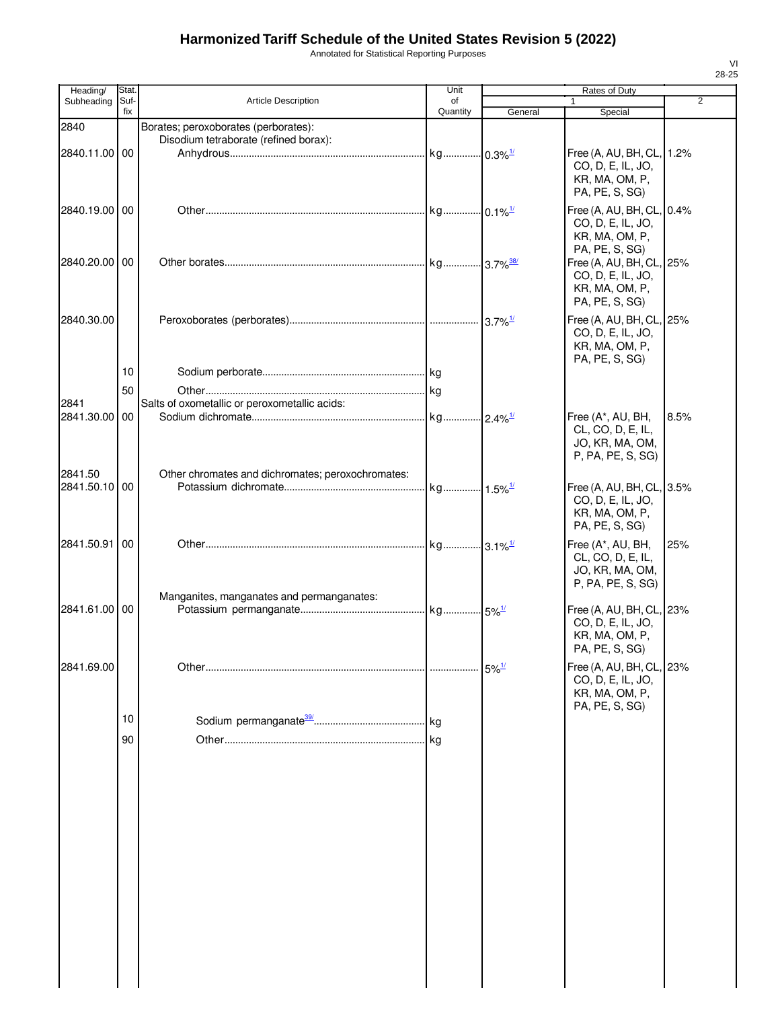Annotated for Statistical Reporting Purposes

| Heading/      | Stat.       |                                                                               | Unit                  |                         | Rates of Duty                                  |                |
|---------------|-------------|-------------------------------------------------------------------------------|-----------------------|-------------------------|------------------------------------------------|----------------|
| Subheading    | Suf-<br>fix | <b>Article Description</b>                                                    | of<br>Quantity        |                         | 1                                              | $\overline{2}$ |
|               |             |                                                                               |                       | General                 | Special                                        |                |
| 2840          |             | Borates; peroxoborates (perborates):<br>Disodium tetraborate (refined borax): |                       |                         |                                                |                |
| 2840.11.00 00 |             |                                                                               |                       |                         | Free (A, AU, BH, CL, 1.2%                      |                |
|               |             |                                                                               |                       |                         | CO, D, E, IL, JO,                              |                |
|               |             |                                                                               |                       |                         | KR, MA, OM, P,                                 |                |
|               |             |                                                                               |                       |                         | PA, PE, S, SG)                                 |                |
| 2840.19.00 00 |             |                                                                               |                       |                         |                                                |                |
|               |             |                                                                               |                       |                         | Free (A, AU, BH, CL, 0.4%<br>CO, D, E, IL, JO, |                |
|               |             |                                                                               |                       |                         | KR, MA, OM, P,                                 |                |
|               |             |                                                                               |                       |                         | PA, PE, S, SG)                                 |                |
| 2840.20.00 00 |             |                                                                               |                       | $-3.7\%$ <sup>38/</sup> | Free (A, AU, BH, CL, 25%                       |                |
|               |             |                                                                               |                       |                         | CO, D, E, IL, JO,                              |                |
|               |             |                                                                               |                       |                         | KR, MA, OM, P,                                 |                |
|               |             |                                                                               |                       |                         | PA, PE, S, SG)                                 |                |
| 2840.30.00    |             |                                                                               |                       | $3.7\%$ <sup>1/</sup>   | Free (A, AU, BH, CL, 25%                       |                |
|               |             |                                                                               |                       |                         | CO, D, E, IL, JO,                              |                |
|               |             |                                                                               |                       |                         | KR, MA, OM, P,                                 |                |
|               |             |                                                                               |                       |                         | PA, PE, S, SG)                                 |                |
|               | 10          |                                                                               |                       |                         |                                                |                |
|               | 50          |                                                                               |                       |                         |                                                |                |
| 2841          |             | Salts of oxometallic or peroxometallic acids:                                 |                       |                         |                                                |                |
| 2841.30.00    | 00          |                                                                               |                       |                         | Free (A*, AU, BH,                              | 8.5%           |
|               |             |                                                                               |                       |                         | CL, CO, D, E, IL,                              |                |
|               |             |                                                                               |                       |                         | JO, KR, MA, OM,                                |                |
|               |             |                                                                               |                       |                         | P, PA, PE, S, SG)                              |                |
| 2841.50       |             | Other chromates and dichromates; peroxochromates:                             |                       |                         |                                                |                |
| 2841.50.10 00 |             |                                                                               | kg 1.5% <sup>1/</sup> |                         | Free (A, AU, BH, CL, 3.5%                      |                |
|               |             |                                                                               |                       |                         | CO, D, E, IL, JO,                              |                |
|               |             |                                                                               |                       |                         | KR, MA, OM, P,                                 |                |
|               |             |                                                                               |                       |                         | PA, PE, S, SG)                                 |                |
| 2841.50.91    | 00          |                                                                               |                       |                         | Free (A*, AU, BH,                              | 25%            |
|               |             |                                                                               |                       |                         | CL, CO, D, E, IL,                              |                |
|               |             |                                                                               |                       |                         | JO, KR, MA, OM,                                |                |
|               |             |                                                                               |                       |                         | P, PA, PE, S, SG)                              |                |
|               |             | Manganites, manganates and permanganates:                                     |                       |                         |                                                |                |
| 2841.61.00 00 |             |                                                                               |                       |                         | Free (A, AU, BH, CL, 23%                       |                |
|               |             |                                                                               |                       |                         | CO, D, E, IL, JO,                              |                |
|               |             |                                                                               |                       |                         | KR, MA, OM, P,<br>PA, PE, S, SG)               |                |
|               |             |                                                                               |                       |                         |                                                |                |
| 2841.69.00    |             |                                                                               |                       | $5\%$ <sup>1/</sup>     | Free (A, AU, BH, CL, 23%                       |                |
|               |             |                                                                               |                       |                         | CO, D, E, IL, JO,                              |                |
|               |             |                                                                               |                       |                         | KR, MA, OM, P,<br>PA, PE, S, SG)               |                |
|               | 10          |                                                                               |                       |                         |                                                |                |
|               |             |                                                                               |                       |                         |                                                |                |
|               | 90          |                                                                               | <b>kg</b>             |                         |                                                |                |
|               |             |                                                                               |                       |                         |                                                |                |
|               |             |                                                                               |                       |                         |                                                |                |
|               |             |                                                                               |                       |                         |                                                |                |
|               |             |                                                                               |                       |                         |                                                |                |
|               |             |                                                                               |                       |                         |                                                |                |
|               |             |                                                                               |                       |                         |                                                |                |
|               |             |                                                                               |                       |                         |                                                |                |
|               |             |                                                                               |                       |                         |                                                |                |
|               |             |                                                                               |                       |                         |                                                |                |
|               |             |                                                                               |                       |                         |                                                |                |
|               |             |                                                                               |                       |                         |                                                |                |
|               |             |                                                                               |                       |                         |                                                |                |
|               |             |                                                                               |                       |                         |                                                |                |
|               |             |                                                                               |                       |                         |                                                |                |
|               |             |                                                                               |                       |                         |                                                |                |
|               |             |                                                                               |                       |                         |                                                |                |
|               |             |                                                                               |                       |                         |                                                |                |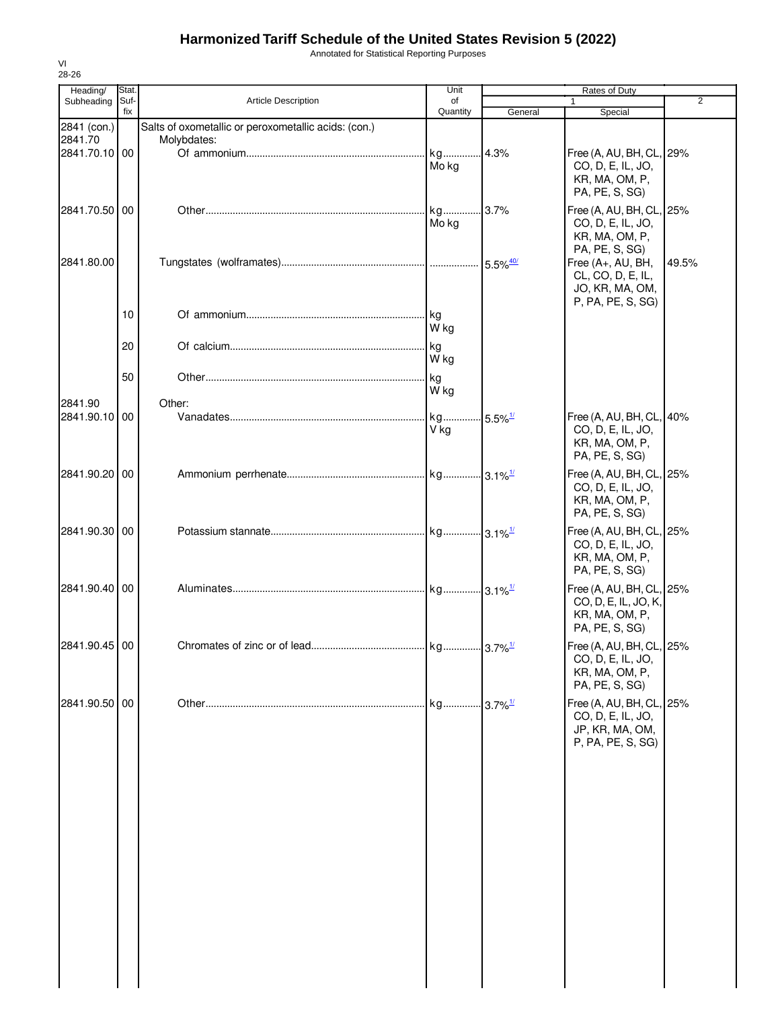Annotated for Statistical Reporting Purposes

| Heading/                                | Stat.<br>Suf- | <b>Article Description</b>                                          | Unit<br>of |                        | Rates of Duty<br>$\mathbf{1}$                                                         | $\overline{2}$ |
|-----------------------------------------|---------------|---------------------------------------------------------------------|------------|------------------------|---------------------------------------------------------------------------------------|----------------|
| Subheading                              | fix           |                                                                     | Quantity   | General                | Special                                                                               |                |
| 2841 (con.)<br>2841.70<br>2841.70.10 00 |               | Salts of oxometallic or peroxometallic acids: (con.)<br>Molybdates: | Mo kg      |                        | Free (A, AU, BH, CL, 29%<br>CO, D, E, IL, JO,<br>KR, MA, OM, P,<br>PA, PE, S, SG)     |                |
| 2841.70.50 00                           |               |                                                                     | Mo kg      |                        | Free (A, AU, BH, CL, 25%<br>CO, D, E, IL, JO,<br>KR, MA, OM, P,                       |                |
| 2841.80.00                              |               |                                                                     |            |                        | PA, PE, S, SG)<br>Free (A+, AU, BH,<br>CL, CO, D, E, IL,<br>JO, KR, MA, OM,           | 49.5%          |
|                                         | 10            |                                                                     | kg<br>W kg |                        | P, PA, PE, S, SG)                                                                     |                |
|                                         | 20            |                                                                     | kg<br>W kg |                        |                                                                                       |                |
| 2841.90                                 | 50            | Other:                                                              | kg<br>W kg |                        |                                                                                       |                |
| 2841.90.10 00                           |               |                                                                     | kg<br>V kg | $-5.5\%$ <sup>1/</sup> | Free (A, AU, BH, CL, 40%<br>CO, D, E, IL, JO,<br>KR, MA, OM, P,<br>PA, PE, S, SG)     |                |
| 2841.90.20                              | 00            |                                                                     |            |                        | Free (A, AU, BH, CL, 25%<br>CO, D, E, IL, JO,<br>KR, MA, OM, P,<br>PA, PE, S, SG)     |                |
| 2841.90.30 00                           |               |                                                                     |            |                        | Free (A, AU, BH, CL, 25%<br>CO, D, E, IL, JO,<br>KR, MA, OM, P,<br>PA, PE, S, SG)     |                |
| 2841.90.40 00                           |               |                                                                     |            |                        | Free (A, AU, BH, CL, 25%<br>CO, D, E, IL, JO, K,<br>KR, MA, OM, P,<br>PA, PE, S, SG)  |                |
| 2841.90.45 00                           |               |                                                                     |            |                        | Free (A, AU, BH, CL, 25%<br>CO, D, E, IL, JO,<br>KR, MA, OM, P,<br>PA, PE, S, SG)     |                |
| 2841.90.50 00                           |               |                                                                     |            |                        | Free (A, AU, BH, CL, 25%<br>CO, D, E, IL, JO,<br>JP, KR, MA, OM,<br>P, PA, PE, S, SG) |                |
|                                         |               |                                                                     |            |                        |                                                                                       |                |
|                                         |               |                                                                     |            |                        |                                                                                       |                |
|                                         |               |                                                                     |            |                        |                                                                                       |                |

VI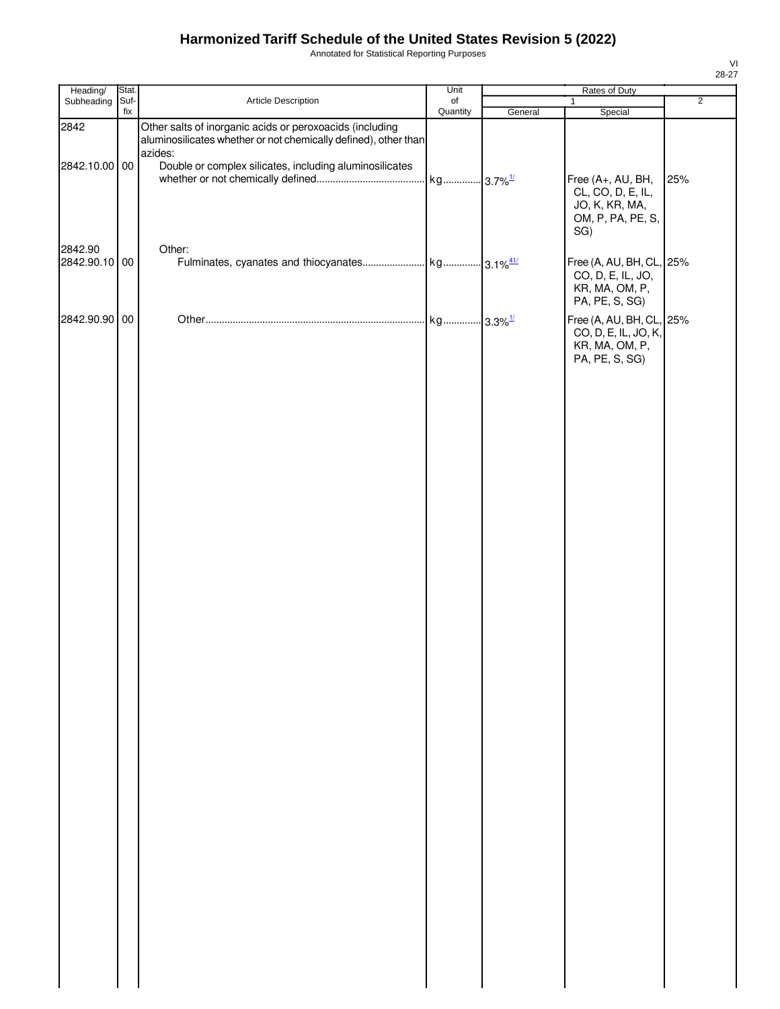Annotated for Statistical Reporting Purposes

| Heading/                 | Stat.       |                                                                                                                             | Unit                  |         | Rates of Duty                                                                        |                |
|--------------------------|-------------|-----------------------------------------------------------------------------------------------------------------------------|-----------------------|---------|--------------------------------------------------------------------------------------|----------------|
| Subheading               | Suf-<br>fix | Article Description                                                                                                         | of                    |         | $\mathbf{1}$                                                                         | $\overline{2}$ |
| 2842                     |             | Other salts of inorganic acids or peroxoacids (including<br>aluminosilicates whether or not chemically defined), other than | Quantity              | General | Special                                                                              |                |
| 2842.10.00 00            |             | azides:<br>Double or complex silicates, including aluminosilicates                                                          | kg 3.7% <sup>1/</sup> |         | Free (A+, AU, BH,<br>CL, CO, D, E, IL,<br>JO, K, KR, MA,<br>OM, P, PA, PE, S,<br>SG) | 25%            |
| 2842.90<br>2842.90.10 00 |             | Other:                                                                                                                      |                       |         | Free (A, AU, BH, CL, 25%<br>CO, D, E, IL, JO,<br>KR, MA, OM, P,<br>PA, PE, S, SG)    |                |
| 2842.90.90 00            |             |                                                                                                                             |                       |         | Free (A, AU, BH, CL, 25%<br>CO, D, E, IL, JO, K,<br>KR, MA, OM, P,<br>PA, PE, S, SG) |                |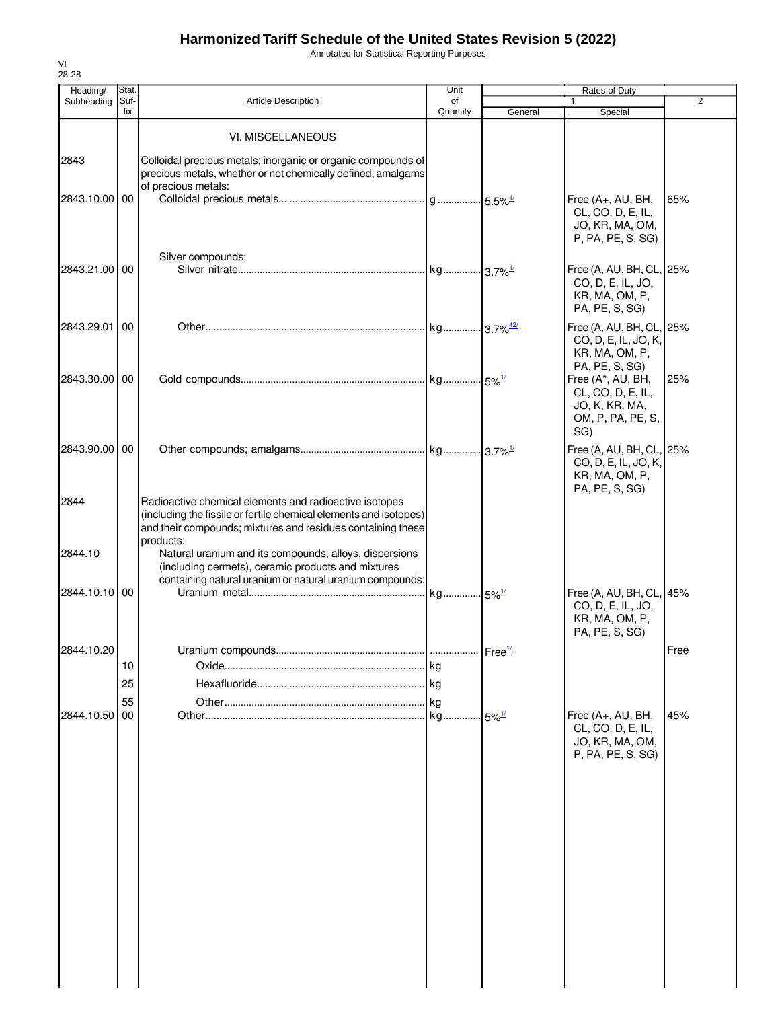Annotated for Statistical Reporting Purposes

| Heading/      | Stat.       |                                                                                                                                                                                                         | Unit               |                     | <b>Rates of Duty</b>                                                                 |                |
|---------------|-------------|---------------------------------------------------------------------------------------------------------------------------------------------------------------------------------------------------------|--------------------|---------------------|--------------------------------------------------------------------------------------|----------------|
| Subheading    | Suf-<br>fix | <b>Article Description</b>                                                                                                                                                                              | of<br>Quantity     | General             | 1<br>Special                                                                         | $\overline{2}$ |
|               |             |                                                                                                                                                                                                         |                    |                     |                                                                                      |                |
|               |             | VI. MISCELLANEOUS                                                                                                                                                                                       |                    |                     |                                                                                      |                |
| 2843          |             | Colloidal precious metals; inorganic or organic compounds of<br>precious metals, whether or not chemically defined; amalgams<br>of precious metals:                                                     |                    |                     |                                                                                      |                |
| 2843.10.00 00 |             |                                                                                                                                                                                                         |                    |                     | Free (A+, AU, BH,<br>CL, CO, D, E, IL,<br>JO, KR, MA, OM,<br>P, PA, PE, S, SG)       | 65%            |
| 2843.21.00 00 |             | Silver compounds:                                                                                                                                                                                       |                    |                     | Free (A, AU, BH, CL, 25%<br>CO, D, E, IL, JO,                                        |                |
| 2843.29.01    | 00          |                                                                                                                                                                                                         |                    |                     | KR, MA, OM, P,<br>PA, PE, S, SG)<br>Free (A, AU, BH, CL, 25%                         |                |
|               |             |                                                                                                                                                                                                         |                    |                     | CO, D, E, IL, JO, K,<br>KR, MA, OM, P,<br>PA, PE, S, SG)                             |                |
| 2843.30.00 00 |             |                                                                                                                                                                                                         |                    |                     | Free (A*, AU, BH,<br>CL, CO, D, E, IL,<br>JO, K, KR, MA,<br>OM, P, PA, PE, S,<br>SG) | 25%            |
| 2843.90.00 00 |             |                                                                                                                                                                                                         |                    |                     | Free (A, AU, BH, CL, 25%<br>CO, D, E, IL, JO, K,<br>KR, MA, OM, P,<br>PA, PE, S, SG) |                |
| 2844          |             | Radioactive chemical elements and radioactive isotopes<br>(including the fissile or fertile chemical elements and isotopes)<br>and their compounds; mixtures and residues containing these<br>products: |                    |                     |                                                                                      |                |
| 2844.10       |             | Natural uranium and its compounds; alloys, dispersions<br>(including cermets), ceramic products and mixtures<br>containing natural uranium or natural uranium compounds:                                |                    |                     |                                                                                      |                |
| 2844.10.10 00 |             |                                                                                                                                                                                                         | . kg 5%1           |                     | Free (A, AU, BH, CL, 45%<br>CO, D, E, IL, JO,<br>KR, MA, OM, P,<br>PA, PE, S, SG)    |                |
| 2844.10.20    |             | Uranium compounds.                                                                                                                                                                                      | Free <sup>1/</sup> |                     |                                                                                      | Free           |
|               | 10          |                                                                                                                                                                                                         |                    |                     |                                                                                      |                |
|               | 25          |                                                                                                                                                                                                         |                    |                     |                                                                                      |                |
|               | 55          |                                                                                                                                                                                                         | . kg               |                     |                                                                                      |                |
| 2844.10.50    | 00          |                                                                                                                                                                                                         | kg.                | $5\%$ <sup>1/</sup> | Free (A+, AU, BH,<br>CL, CO, D, E, IL,<br>JO, KR, MA, OM,<br>P, PA, PE, S, SG)       | 45%            |
|               |             |                                                                                                                                                                                                         |                    |                     |                                                                                      |                |
|               |             |                                                                                                                                                                                                         |                    |                     |                                                                                      |                |
|               |             |                                                                                                                                                                                                         |                    |                     |                                                                                      |                |
|               |             |                                                                                                                                                                                                         |                    |                     |                                                                                      |                |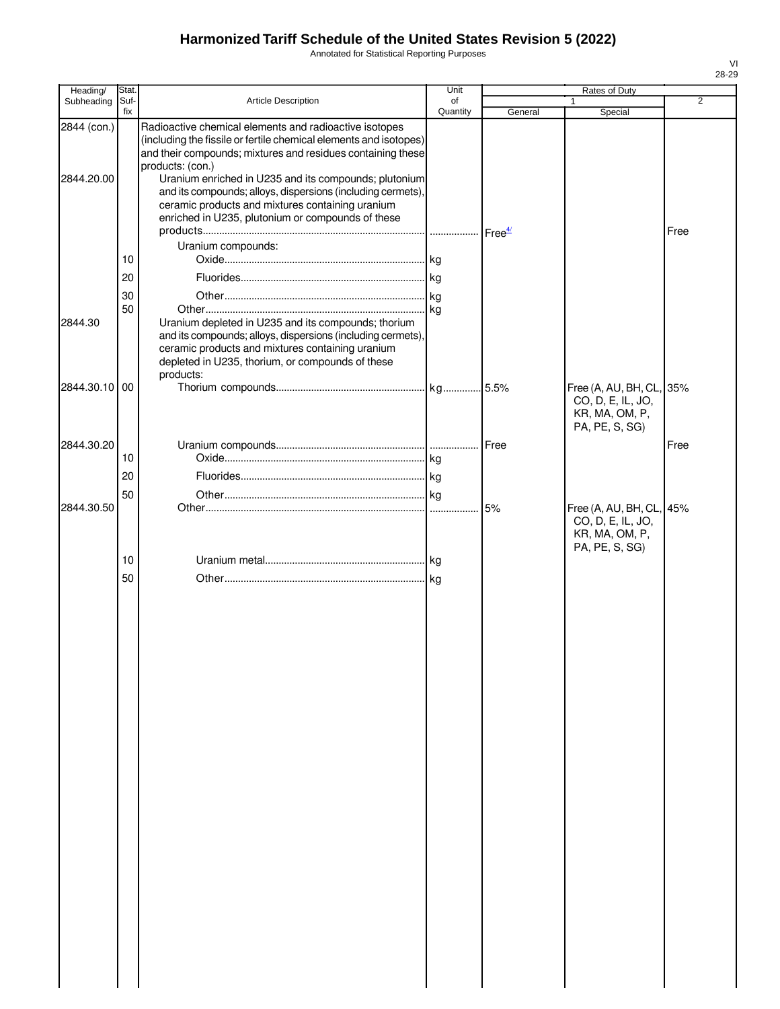Annotated for Statistical Reporting Purposes

| Heading/                  | Stat.       |                                                                                                                                                                                                                                                                                                                                                                                                                                                 | Unit           |                    | Rates of Duty                                                                     |                |
|---------------------------|-------------|-------------------------------------------------------------------------------------------------------------------------------------------------------------------------------------------------------------------------------------------------------------------------------------------------------------------------------------------------------------------------------------------------------------------------------------------------|----------------|--------------------|-----------------------------------------------------------------------------------|----------------|
| Subheading                | Suf-<br>fix | Article Description                                                                                                                                                                                                                                                                                                                                                                                                                             | of<br>Quantity | General            | 1<br>Special                                                                      | $\overline{2}$ |
| 2844 (con.)<br>2844.20.00 |             | Radioactive chemical elements and radioactive isotopes<br>(including the fissile or fertile chemical elements and isotopes)<br>and their compounds; mixtures and residues containing these<br>products: (con.)<br>Uranium enriched in U235 and its compounds; plutonium<br>and its compounds; alloys, dispersions (including cermets),<br>ceramic products and mixtures containing uranium<br>enriched in U235, plutonium or compounds of these |                | Free <sup>4/</sup> |                                                                                   | Free           |
|                           |             | Uranium compounds:                                                                                                                                                                                                                                                                                                                                                                                                                              |                |                    |                                                                                   |                |
|                           | 10          |                                                                                                                                                                                                                                                                                                                                                                                                                                                 |                |                    |                                                                                   |                |
|                           | 20          |                                                                                                                                                                                                                                                                                                                                                                                                                                                 |                |                    |                                                                                   |                |
|                           | 30<br>50    |                                                                                                                                                                                                                                                                                                                                                                                                                                                 |                |                    |                                                                                   |                |
| 2844.30                   |             | Uranium depleted in U235 and its compounds; thorium<br>and its compounds; alloys, dispersions (including cermets),<br>ceramic products and mixtures containing uranium<br>depleted in U235, thorium, or compounds of these<br>products:                                                                                                                                                                                                         |                |                    |                                                                                   |                |
| 2844.30.10 00             |             |                                                                                                                                                                                                                                                                                                                                                                                                                                                 |                |                    | Free (A, AU, BH, CL, 35%<br>CO, D, E, IL, JO,<br>KR, MA, OM, P,<br>PA, PE, S, SG) |                |
| 2844.30.20                |             |                                                                                                                                                                                                                                                                                                                                                                                                                                                 |                | Free               |                                                                                   | Free           |
|                           | 10          |                                                                                                                                                                                                                                                                                                                                                                                                                                                 |                |                    |                                                                                   |                |
|                           | 20          |                                                                                                                                                                                                                                                                                                                                                                                                                                                 |                |                    |                                                                                   |                |
| 2844.30.50                | 50          |                                                                                                                                                                                                                                                                                                                                                                                                                                                 |                | 5%                 | Free (A, AU, BH, CL, 45%                                                          |                |
|                           | 10<br>50    |                                                                                                                                                                                                                                                                                                                                                                                                                                                 |                |                    | CO, D, E, IL, JO,<br>KR, MA, OM, P,<br>PA, PE, S, SG)                             |                |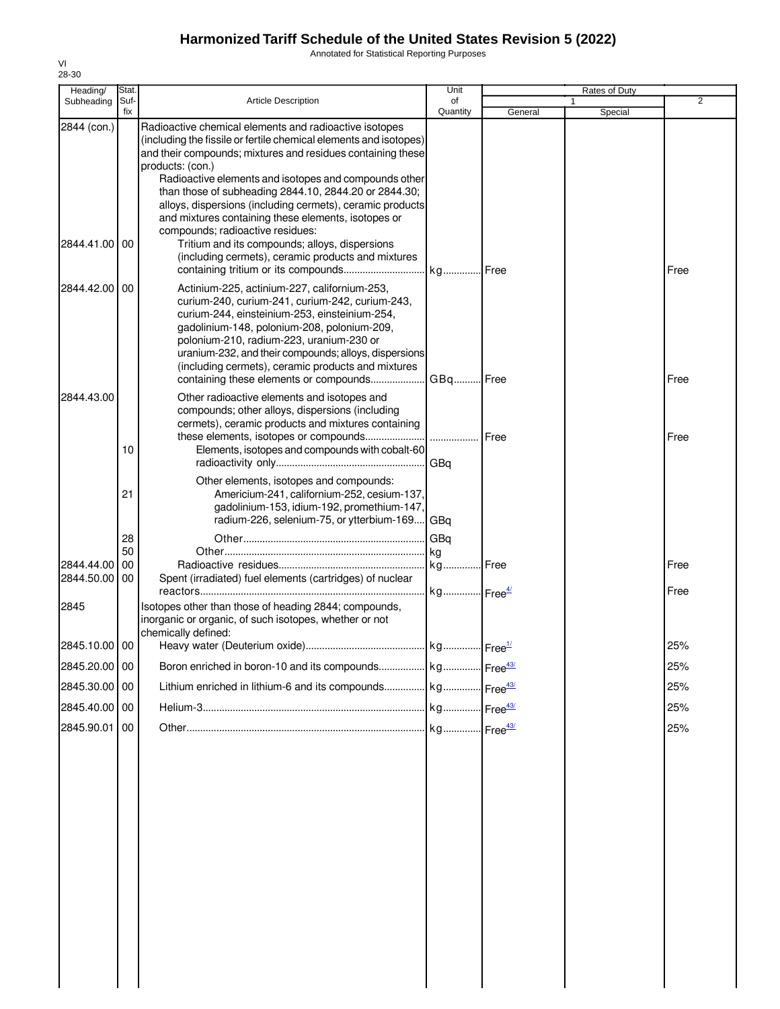Annotated for Statistical Reporting Purposes

| Heading/                 | Stat.       |                                                                                                                                                                                                                                                                                                                                                                                                                                                                                          | Unit                             |         | <b>Rates of Duty</b> |                |
|--------------------------|-------------|------------------------------------------------------------------------------------------------------------------------------------------------------------------------------------------------------------------------------------------------------------------------------------------------------------------------------------------------------------------------------------------------------------------------------------------------------------------------------------------|----------------------------------|---------|----------------------|----------------|
| Subheading               | Suf-<br>fix | <b>Article Description</b>                                                                                                                                                                                                                                                                                                                                                                                                                                                               | of<br>Quantity                   | General | 1<br>Special         | $\overline{2}$ |
| 2844 (con.)              |             | Radioactive chemical elements and radioactive isotopes<br>(including the fissile or fertile chemical elements and isotopes)<br>and their compounds; mixtures and residues containing these<br>products: (con.)<br>Radioactive elements and isotopes and compounds other<br>than those of subheading 2844.10, 2844.20 or 2844.30;<br>alloys, dispersions (including cermets), ceramic products<br>and mixtures containing these elements, isotopes or<br>compounds; radioactive residues: |                                  |         |                      |                |
| 2844.41.00               | 00          | Tritium and its compounds; alloys, dispersions<br>(including cermets), ceramic products and mixtures                                                                                                                                                                                                                                                                                                                                                                                     |                                  |         |                      | Free           |
| 2844.42.00               | 00          | Actinium-225, actinium-227, californium-253,<br>curium-240, curium-241, curium-242, curium-243,<br>curium-244, einsteinium-253, einsteinium-254,<br>gadolinium-148, polonium-208, polonium-209,<br>polonium-210, radium-223, uranium-230 or<br>uranium-232, and their compounds; alloys, dispersions<br>(including cermets), ceramic products and mixtures<br>containing these elements or compounds                                                                                     | GBq Free                         |         |                      | Free           |
| 2844.43.00               | 10          | Other radioactive elements and isotopes and<br>compounds; other alloys, dispersions (including<br>cermets), ceramic products and mixtures containing<br>Elements, isotopes and compounds with cobalt-60                                                                                                                                                                                                                                                                                  |                                  | Free    |                      | Free           |
|                          | 21          | Other elements, isotopes and compounds:<br>Americium-241, californium-252, cesium-137,<br>gadolinium-153, idium-192, promethium-147,<br>radium-226, selenium-75, or ytterbium-169 GBq                                                                                                                                                                                                                                                                                                    |                                  |         |                      |                |
|                          | 28          |                                                                                                                                                                                                                                                                                                                                                                                                                                                                                          | GBq                              |         |                      |                |
|                          | 50          |                                                                                                                                                                                                                                                                                                                                                                                                                                                                                          | kg                               |         |                      |                |
| 2844.44.00<br>2844.50.00 | 00<br>00    | Spent (irradiated) fuel elements (cartridges) of nuclear                                                                                                                                                                                                                                                                                                                                                                                                                                 | kg Free<br>kg Free <sup>4/</sup> |         |                      | Free<br>Free   |
| 2845                     |             | Isotopes other than those of heading 2844; compounds,<br>inorganic or organic, of such isotopes, whether or not<br>chemically defined:                                                                                                                                                                                                                                                                                                                                                   |                                  |         |                      |                |
| 2845.10.00 00            |             |                                                                                                                                                                                                                                                                                                                                                                                                                                                                                          |                                  |         |                      | 25%            |
| 2845.20.00 00            |             | Boron enriched in boron-10 and its compounds   kg   Free <sup>43/</sup>                                                                                                                                                                                                                                                                                                                                                                                                                  |                                  |         |                      | 25%            |
| 2845.30.00 00            |             | Lithium enriched in lithium-6 and its compounds kg Free <sup>43/</sup>                                                                                                                                                                                                                                                                                                                                                                                                                   |                                  |         |                      | 25%            |
| 2845.40.00 00            |             |                                                                                                                                                                                                                                                                                                                                                                                                                                                                                          |                                  |         |                      | 25%            |
| 2845.90.01               | 00          |                                                                                                                                                                                                                                                                                                                                                                                                                                                                                          |                                  |         |                      | 25%            |
|                          |             |                                                                                                                                                                                                                                                                                                                                                                                                                                                                                          |                                  |         |                      |                |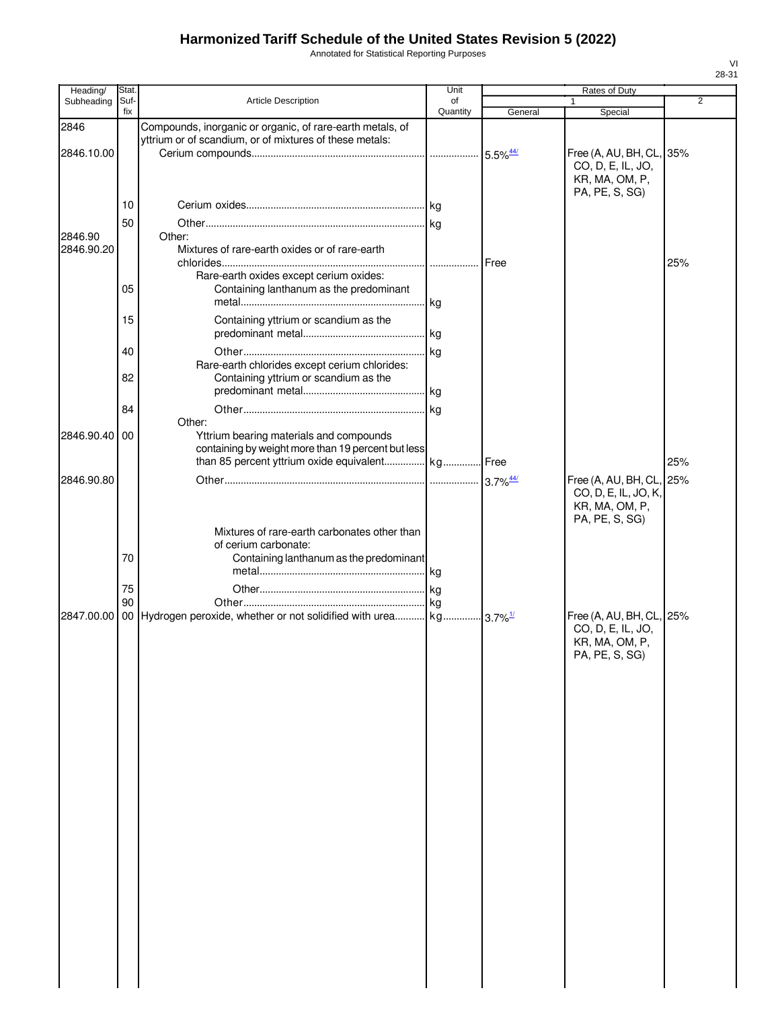Annotated for Statistical Reporting Purposes

| Heading/      | Stat.       |                                                                                                   | Unit           |                        | Rates of Duty                       |     |
|---------------|-------------|---------------------------------------------------------------------------------------------------|----------------|------------------------|-------------------------------------|-----|
| Subheading    | Suf-<br>fix | <b>Article Description</b>                                                                        | οf<br>Quantity | General                | 1<br>Special                        | 2   |
| 2846          |             | Compounds, inorganic or organic, of rare-earth metals, of                                         |                |                        |                                     |     |
|               |             | yttrium or of scandium, or of mixtures of these metals:                                           |                |                        |                                     |     |
| 2846.10.00    |             |                                                                                                   |                |                        | Free (A, AU, BH, CL, 35%            |     |
|               |             |                                                                                                   |                |                        | CO, D, E, IL, JO,                   |     |
|               |             |                                                                                                   |                |                        | KR, MA, OM, P,<br>PA, PE, S, SG)    |     |
|               | 10          |                                                                                                   |                |                        |                                     |     |
|               | 50          |                                                                                                   |                |                        |                                     |     |
| 2846.90       |             | Other:                                                                                            |                |                        |                                     |     |
| 2846.90.20    |             | Mixtures of rare-earth oxides or of rare-earth                                                    |                |                        |                                     |     |
|               |             |                                                                                                   |                |                        |                                     | 25% |
|               | 05          | Rare-earth oxides except cerium oxides:<br>Containing lanthanum as the predominant                |                |                        |                                     |     |
|               |             |                                                                                                   |                |                        |                                     |     |
|               | 15          | Containing yttrium or scandium as the                                                             |                |                        |                                     |     |
|               |             |                                                                                                   |                |                        |                                     |     |
|               | 40          |                                                                                                   |                |                        |                                     |     |
|               |             | Rare-earth chlorides except cerium chlorides:                                                     |                |                        |                                     |     |
|               | 82          | Containing yttrium or scandium as the                                                             |                |                        |                                     |     |
|               |             |                                                                                                   |                |                        |                                     |     |
|               | 84          |                                                                                                   |                |                        |                                     |     |
| 2846.90.40 00 |             | Other:<br>Yttrium bearing materials and compounds                                                 |                |                        |                                     |     |
|               |             | containing by weight more than 19 percent but less                                                |                |                        |                                     |     |
|               |             | than 85 percent yttrium oxide equivalent kg Free                                                  |                |                        |                                     | 25% |
| 2846.90.80    |             |                                                                                                   |                | $3.7\%$ <sup>44/</sup> | Free (A, AU, BH, CL, 25%            |     |
|               |             |                                                                                                   |                |                        | CO, D, E, IL, JO, K,                |     |
|               |             |                                                                                                   |                |                        | KR, MA, OM, P,                      |     |
|               |             | Mixtures of rare-earth carbonates other than                                                      |                |                        | PA, PE, S, SG)                      |     |
|               |             | of cerium carbonate:                                                                              |                |                        |                                     |     |
|               | 70          | Containing lanthanum as the predominant                                                           |                |                        |                                     |     |
|               |             |                                                                                                   |                |                        |                                     |     |
|               | 75          |                                                                                                   |                |                        |                                     |     |
|               | 90          |                                                                                                   |                |                        |                                     |     |
|               |             | 2847.00.00   00   Hydrogen peroxide, whether or not solidified with urea   kg 3.7% <sup>1/1</sup> |                |                        | Free (A, AU, BH, CL, 25%            |     |
|               |             |                                                                                                   |                |                        | CO, D, E, IL, JO,<br>KR, MA, OM, P, |     |
|               |             |                                                                                                   |                |                        | PA, PE, S, SG)                      |     |
|               |             |                                                                                                   |                |                        |                                     |     |
|               |             |                                                                                                   |                |                        |                                     |     |
|               |             |                                                                                                   |                |                        |                                     |     |
|               |             |                                                                                                   |                |                        |                                     |     |
|               |             |                                                                                                   |                |                        |                                     |     |
|               |             |                                                                                                   |                |                        |                                     |     |
|               |             |                                                                                                   |                |                        |                                     |     |
|               |             |                                                                                                   |                |                        |                                     |     |
|               |             |                                                                                                   |                |                        |                                     |     |
|               |             |                                                                                                   |                |                        |                                     |     |
|               |             |                                                                                                   |                |                        |                                     |     |
|               |             |                                                                                                   |                |                        |                                     |     |
|               |             |                                                                                                   |                |                        |                                     |     |
|               |             |                                                                                                   |                |                        |                                     |     |
|               |             |                                                                                                   |                |                        |                                     |     |
|               |             |                                                                                                   |                |                        |                                     |     |
|               |             |                                                                                                   |                |                        |                                     |     |
|               |             |                                                                                                   |                |                        |                                     |     |
|               |             |                                                                                                   |                |                        |                                     |     |
|               |             |                                                                                                   |                |                        |                                     |     |
|               |             |                                                                                                   |                |                        |                                     |     |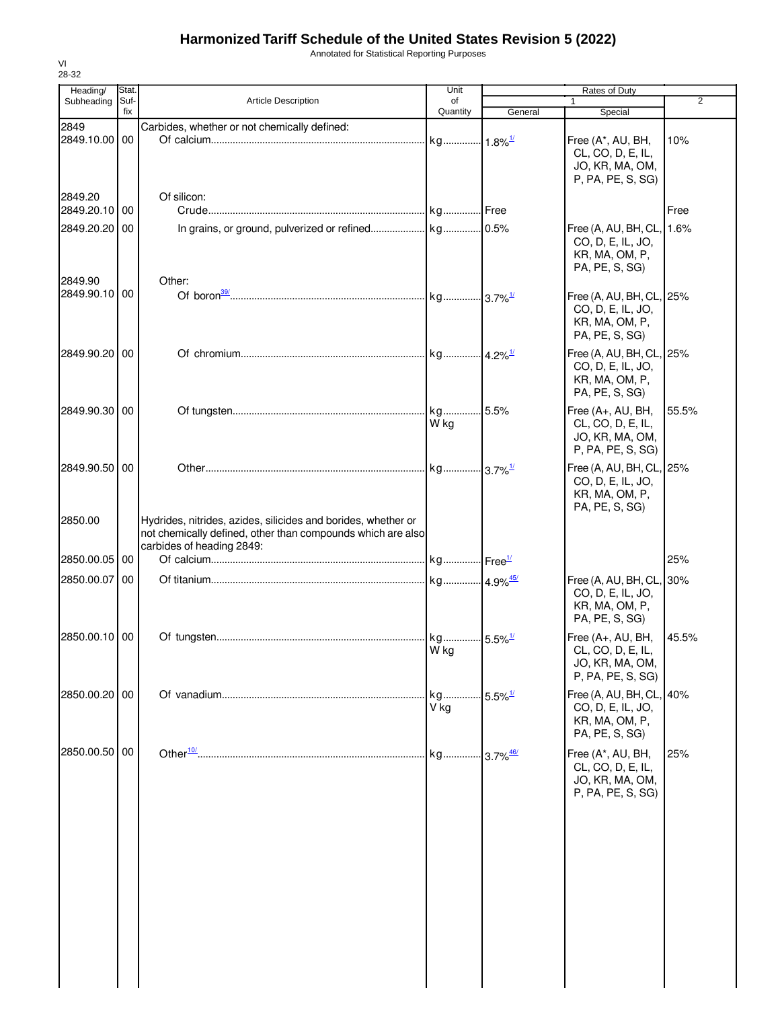Annotated for Statistical Reporting Purposes

| Heading/      | Stat.       |                                                               | Unit                          |                        | Rates of Duty                          |                |
|---------------|-------------|---------------------------------------------------------------|-------------------------------|------------------------|----------------------------------------|----------------|
| Subheading    | Suf-<br>fix | <b>Article Description</b>                                    | of<br>Quantity                | General                | 1<br>Special                           | $\overline{2}$ |
| 2849          |             | Carbides, whether or not chemically defined:                  |                               |                        |                                        |                |
| 2849.10.00    | 00          |                                                               | kg                            | $1.8\%$ <sup>1/</sup>  | Free (A*, AU, BH,                      | 10%            |
|               |             |                                                               |                               |                        | CL, CO, D, E, IL,                      |                |
|               |             |                                                               |                               |                        | JO, KR, MA, OM,                        |                |
|               |             |                                                               |                               |                        | P, PA, PE, S, SG)                      |                |
| 2849.20       |             | Of silicon:                                                   |                               |                        |                                        |                |
| 2849.20.10    | 00          |                                                               |                               | .l Free                |                                        | Free           |
| 2849.20.20    | 00          |                                                               |                               |                        | Free (A, AU, BH, CL,                   | 1.6%           |
|               |             |                                                               |                               |                        | CO, D, E, IL, JO,                      |                |
|               |             |                                                               |                               |                        | KR, MA, OM, P,<br>PA, PE, S, SG)       |                |
| 2849.90       |             | Other:                                                        |                               |                        |                                        |                |
| 2849.90.10 00 |             |                                                               |                               |                        | Free (A, AU, BH, CL, 25%               |                |
|               |             |                                                               |                               |                        | CO, D, E, IL, JO,                      |                |
|               |             |                                                               |                               |                        | KR, MA, OM, P,                         |                |
|               |             |                                                               |                               |                        | PA, PE, S, SG)                         |                |
| 2849.90.20 00 |             |                                                               |                               |                        | Free (A, AU, BH, CL, 25%               |                |
|               |             |                                                               |                               |                        | CO, D, E, IL, JO,<br>KR, MA, OM, P,    |                |
|               |             |                                                               |                               |                        | PA, PE, S, SG)                         |                |
| 2849.90.30    | 00          |                                                               | kg                            | 5.5%                   | Free (A+, AU, BH,                      | 55.5%          |
|               |             |                                                               | W kg                          |                        | CL, CO, D, E, IL,                      |                |
|               |             |                                                               |                               |                        | JO, KR, MA, OM,                        |                |
|               |             |                                                               |                               |                        | P, PA, PE, S, SG)                      |                |
| 2849.90.50    | 00          |                                                               |                               |                        | Free (A, AU, BH, CL, 25%               |                |
|               |             |                                                               |                               |                        | CO, D, E, IL, JO,                      |                |
|               |             |                                                               |                               |                        | KR, MA, OM, P,                         |                |
| 2850.00       |             | Hydrides, nitrides, azides, silicides and borides, whether or |                               |                        | PA, PE, S, SG)                         |                |
|               |             | not chemically defined, other than compounds which are also   |                               |                        |                                        |                |
|               |             | carbides of heading 2849:                                     |                               |                        |                                        |                |
| 2850.00.05    | 00          |                                                               |                               |                        |                                        | 25%            |
| 2850.00.07    | 00          |                                                               | kg 4.9% <sup>45/</sup>        |                        | Free (A, AU, BH, CL, 30%               |                |
|               |             |                                                               |                               |                        | CO, D, E, IL, JO,                      |                |
|               |             |                                                               |                               |                        | KR, MA, OM, P,<br>PA, PE, S, SG)       |                |
|               |             |                                                               |                               |                        |                                        |                |
| 2850.00.10 00 |             |                                                               | kg 5.5% <sup>1/</sup><br>W kg |                        | Free (A+, AU, BH,<br>CL, CO, D, E, IL, | 45.5%          |
|               |             |                                                               |                               |                        | JO, KR, MA, OM,                        |                |
|               |             |                                                               |                               |                        | P, PA, PE, S, SG)                      |                |
| 2850.00.20 00 |             |                                                               | kg                            | $5.5\%$ <sup>1/</sup>  | Free (A, AU, BH, CL, 40%               |                |
|               |             |                                                               | V kg                          |                        | CO, D, E, IL, JO,                      |                |
|               |             |                                                               |                               |                        | KR, MA, OM, P,                         |                |
|               |             |                                                               |                               |                        | PA, PE, S, SG)                         |                |
| 2850.00.50    | 00          |                                                               | kg                            | $3.7\%$ <sup>46/</sup> | Free (A*, AU, BH,                      | 25%            |
|               |             |                                                               |                               |                        | CL, CO, D, E, IL,                      |                |
|               |             |                                                               |                               |                        | JO, KR, MA, OM,<br>P, PA, PE, S, SG)   |                |
|               |             |                                                               |                               |                        |                                        |                |
|               |             |                                                               |                               |                        |                                        |                |
|               |             |                                                               |                               |                        |                                        |                |
|               |             |                                                               |                               |                        |                                        |                |
|               |             |                                                               |                               |                        |                                        |                |
|               |             |                                                               |                               |                        |                                        |                |
|               |             |                                                               |                               |                        |                                        |                |
|               |             |                                                               |                               |                        |                                        |                |
|               |             |                                                               |                               |                        |                                        |                |
|               |             |                                                               |                               |                        |                                        |                |
|               |             |                                                               |                               |                        |                                        |                |
|               |             |                                                               |                               |                        |                                        |                |
|               |             |                                                               |                               |                        |                                        |                |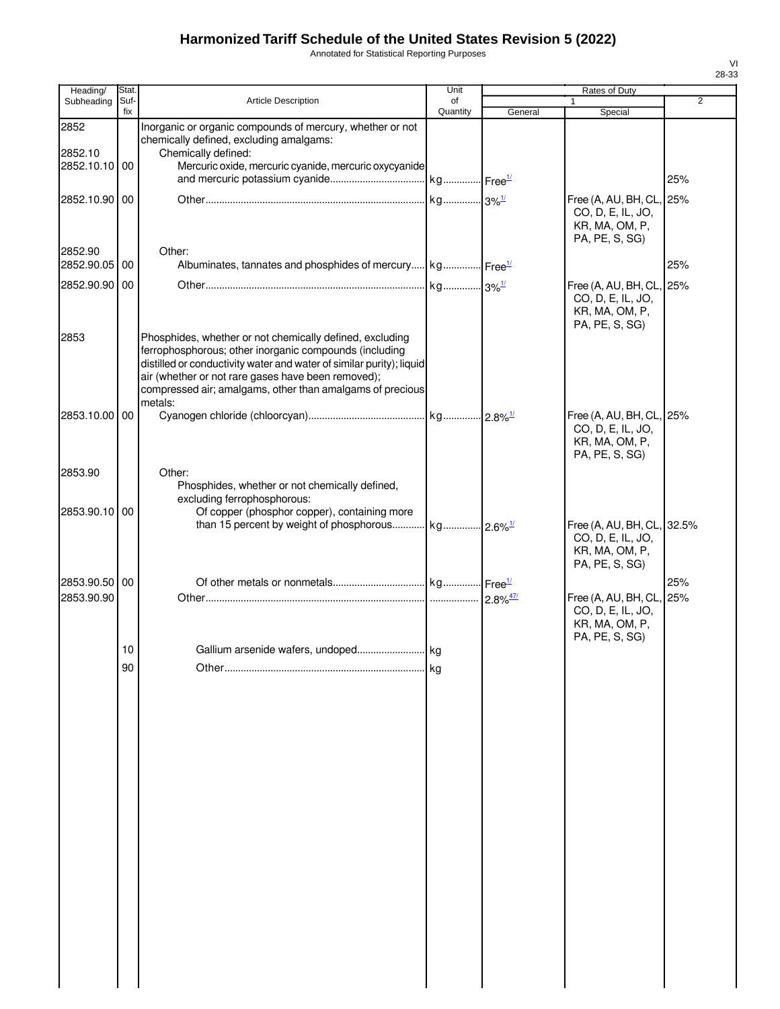Annotated for Statistical Reporting Purposes

| Heading/                    | Stat.       |                                                                                                                                                                                                                                                                                                                          | Unit           |         | Rates of Duty                                                                     |                |
|-----------------------------|-------------|--------------------------------------------------------------------------------------------------------------------------------------------------------------------------------------------------------------------------------------------------------------------------------------------------------------------------|----------------|---------|-----------------------------------------------------------------------------------|----------------|
| Subheading                  | Suf-<br>fix | <b>Article Description</b>                                                                                                                                                                                                                                                                                               | of<br>Quantity | General | 1<br>Special                                                                      | $\overline{2}$ |
| 2852<br>2852.10             |             | Inorganic or organic compounds of mercury, whether or not<br>chemically defined, excluding amalgams:<br>Chemically defined:                                                                                                                                                                                              |                |         |                                                                                   |                |
| 2852.10.10 00               |             | Mercuric oxide, mercuric cyanide, mercuric oxycyanide                                                                                                                                                                                                                                                                    |                |         |                                                                                   | 25%            |
| 2852.10.90 00               |             |                                                                                                                                                                                                                                                                                                                          |                |         | Free (A, AU, BH, CL,<br>CO, D, E, IL, JO,<br>KR, MA, OM, P,<br>PA, PE, S, SG)     | 25%            |
| 2852.90<br>2852.90.05 00    |             | Other:<br>Albuminates, tannates and phosphides of mercury kg Free <sup>1/</sup>                                                                                                                                                                                                                                          |                |         |                                                                                   | 25%            |
| 2852.90.90 00               |             |                                                                                                                                                                                                                                                                                                                          |                |         | Free (A, AU, BH, CL, 25%<br>CO, D, E, IL, JO,<br>KR, MA, OM, P,<br>PA, PE, S, SG) |                |
| 2853                        |             | Phosphides, whether or not chemically defined, excluding<br>ferrophosphorous; other inorganic compounds (including<br>distilled or conductivity water and water of similar purity); liquid<br>air (whether or not rare gases have been removed);<br>compressed air; amalgams, other than amalgams of precious<br>metals: |                |         |                                                                                   |                |
| 2853.10.00 00               |             |                                                                                                                                                                                                                                                                                                                          |                |         | Free (A, AU, BH, CL, 25%<br>CO, D, E, IL, JO,<br>KR, MA, OM, P,<br>PA, PE, S, SG) |                |
| 2853.90                     |             | Other:<br>Phosphides, whether or not chemically defined,<br>excluding ferrophosphorous:                                                                                                                                                                                                                                  |                |         |                                                                                   |                |
| 2853.90.10 00               |             | Of copper (phosphor copper), containing more                                                                                                                                                                                                                                                                             |                |         | Free (A, AU, BH, CL,<br>CO, D, E, IL, JO,<br>KR, MA, OM, P,<br>PA, PE, S, SG)     | 32.5%          |
| 2853.90.50 00<br>2853.90.90 |             |                                                                                                                                                                                                                                                                                                                          |                |         | Free (A, AU, BH, CL,<br>CO, D, E, IL, JO,<br>KR, MA, OM, P,                       | 25%<br>25%     |
|                             | 10          | Gallium arsenide wafers, undoped                                                                                                                                                                                                                                                                                         | kg             |         | PA, PE, S, SG)                                                                    |                |
|                             | 90          |                                                                                                                                                                                                                                                                                                                          | kg             |         |                                                                                   |                |
|                             |             |                                                                                                                                                                                                                                                                                                                          |                |         |                                                                                   |                |
|                             |             |                                                                                                                                                                                                                                                                                                                          |                |         |                                                                                   |                |
|                             |             |                                                                                                                                                                                                                                                                                                                          |                |         |                                                                                   |                |
|                             |             |                                                                                                                                                                                                                                                                                                                          |                |         |                                                                                   |                |
|                             |             |                                                                                                                                                                                                                                                                                                                          |                |         |                                                                                   |                |
|                             |             |                                                                                                                                                                                                                                                                                                                          |                |         |                                                                                   |                |
|                             |             |                                                                                                                                                                                                                                                                                                                          |                |         |                                                                                   |                |